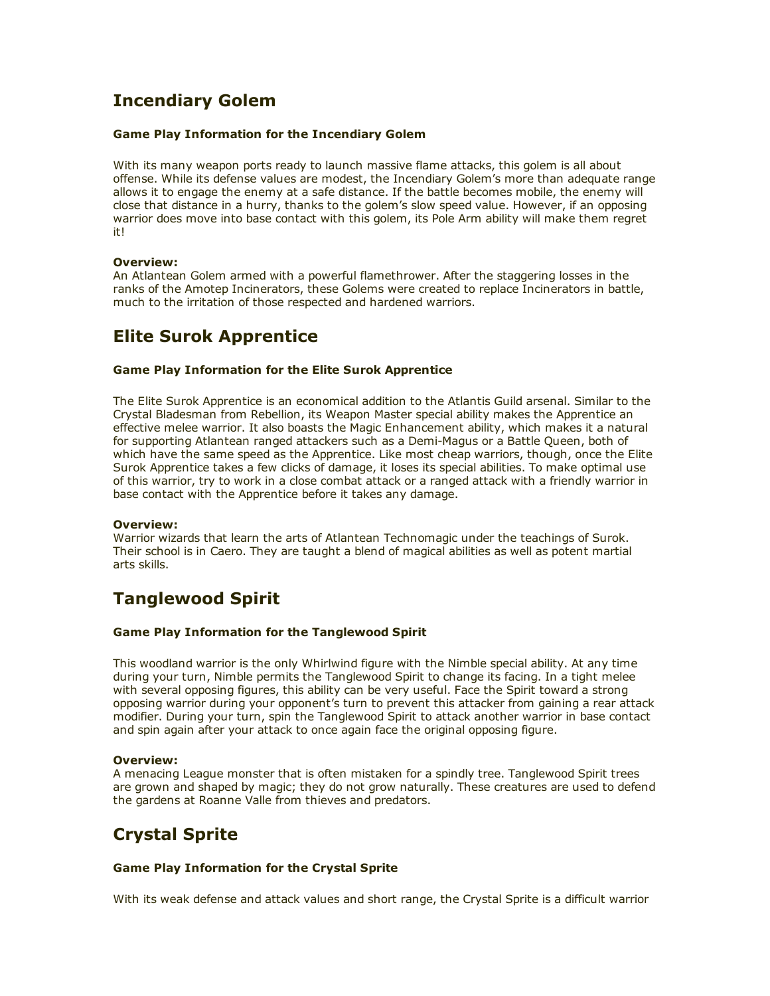# Incendiary Golem

#### Game Play Information for the Incendiary Golem

With its many weapon ports ready to launch massive flame attacks, this golem is all about offense. While its defense values are modest, the Incendiary Golem's more than adequate range allows it to engage the enemy at a safe distance. If the battle becomes mobile, the enemy will close that distance in a hurry, thanks to the golem's slow speed value. However, if an opposing warrior does move into base contact with this golem, its Pole Arm ability will make them regret it!

#### Overview:

An Atlantean Golem armed with a powerful flamethrower. After the staggering losses in the ranks of the Amotep Incinerators, these Golems were created to replace Incinerators in battle, much to the irritation of those respected and hardened warriors.

# Elite Surok Apprentice

#### Game Play Information for the Elite Surok Apprentice

The Elite Surok Apprentice is an economical addition to the Atlantis Guild arsenal. Similar to the Crystal Bladesman from Rebellion, its Weapon Master special ability makes the Apprentice an effective melee warrior. It also boasts the Magic Enhancement ability, which makes it a natural for supporting Atlantean ranged attackers such as a Demi-Magus or a Battle Queen, both of which have the same speed as the Apprentice. Like most cheap warriors, though, once the Elite Surok Apprentice takes a few clicks of damage, it loses its special abilities. To make optimal use of this warrior, try to work in a close combat attack or a ranged attack with a friendly warrior in base contact with the Apprentice before it takes any damage.

#### Overview:

Warrior wizards that learn the arts of Atlantean Technomagic under the teachings of Surok. Their school is in Caero. They are taught a blend of magical abilities as well as potent martial arts skills.

## Tanglewood Spirit

#### Game Play Information for the Tanglewood Spirit

This woodland warrior is the only Whirlwind figure with the Nimble special ability. At any time during your turn, Nimble permits the Tanglewood Spirit to change its facing. In a tight melee with several opposing figures, this ability can be very useful. Face the Spirit toward a strong opposing warrior during your opponent's turn to prevent this attacker from gaining a rear attack modifier. During your turn, spin the Tanglewood Spirit to attack another warrior in base contact and spin again after your attack to once again face the original opposing figure.

#### Overview:

A menacing League monster that is often mistaken for a spindly tree. Tanglewood Spirit trees are grown and shaped by magic; they do not grow naturally. These creatures are used to defend the gardens at Roanne Valle from thieves and predators.

# Crystal Sprite

#### Game Play Information for the Crystal Sprite

With its weak defense and attack values and short range, the Crystal Sprite is a difficult warrior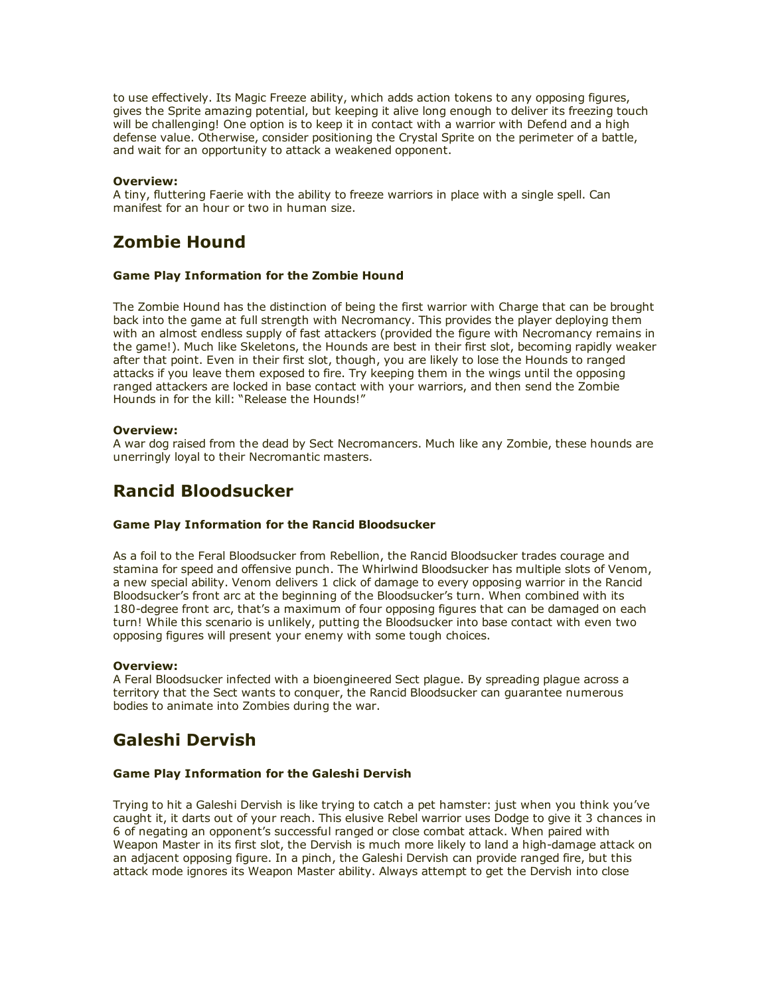to use effectively. Its Magic Freeze ability, which adds action tokens to any opposing figures, gives the Sprite amazing potential, but keeping it alive long enough to deliver its freezing touch will be challenging! One option is to keep it in contact with a warrior with Defend and a high defense value. Otherwise, consider positioning the Crystal Sprite on the perimeter of a battle, and wait for an opportunity to attack a weakened opponent.

#### Overview:

A tiny, fluttering Faerie with the ability to freeze warriors in place with a single spell. Can manifest for an hour or two in human size.

# Zombie Hound

#### Game Play Information for the Zombie Hound

The Zombie Hound has the distinction of being the first warrior with Charge that can be brought back into the game at full strength with Necromancy. This provides the player deploying them with an almost endless supply of fast attackers (provided the figure with Necromancy remains in the game!). Much like Skeletons, the Hounds are best in their first slot, becoming rapidly weaker after that point. Even in their first slot, though, you are likely to lose the Hounds to ranged attacks if you leave them exposed to fire. Try keeping them in the wings until the opposing ranged attackers are locked in base contact with your warriors, and then send the Zombie Hounds in for the kill: "Release the Hounds!"

#### Overview:

A war dog raised from the dead by Sect Necromancers. Much like any Zombie, these hounds are unerringly loyal to their Necromantic masters.

## Rancid Bloodsucker

#### Game Play Information for the Rancid Bloodsucker

As a foil to the Feral Bloodsucker from Rebellion, the Rancid Bloodsucker trades courage and stamina for speed and offensive punch. The Whirlwind Bloodsucker has multiple slots of Venom, a new special ability. Venom delivers 1 click of damage to every opposing warrior in the Rancid Bloodsucker's front arc at the beginning of the Bloodsucker's turn. When combined with its 180-degree front arc, that's a maximum of four opposing figures that can be damaged on each turn! While this scenario is unlikely, putting the Bloodsucker into base contact with even two opposing figures will present your enemy with some tough choices.

#### Overview:

A Feral Bloodsucker infected with a bioengineered Sect plague. By spreading plague across a territory that the Sect wants to conquer, the Rancid Bloodsucker can guarantee numerous bodies to animate into Zombies during the war.

# Galeshi Dervish

#### Game Play Information for the Galeshi Dervish

Trying to hit a Galeshi Dervish is like trying to catch a pet hamster: just when you think you've caught it, it darts out of your reach. This elusive Rebel warrior uses Dodge to give it 3 chances in 6 of negating an opponent's successful ranged or close combat attack. When paired with Weapon Master in its first slot, the Dervish is much more likely to land a high-damage attack on an adjacent opposing figure. In a pinch, the Galeshi Dervish can provide ranged fire, but this attack mode ignores its Weapon Master ability. Always attempt to get the Dervish into close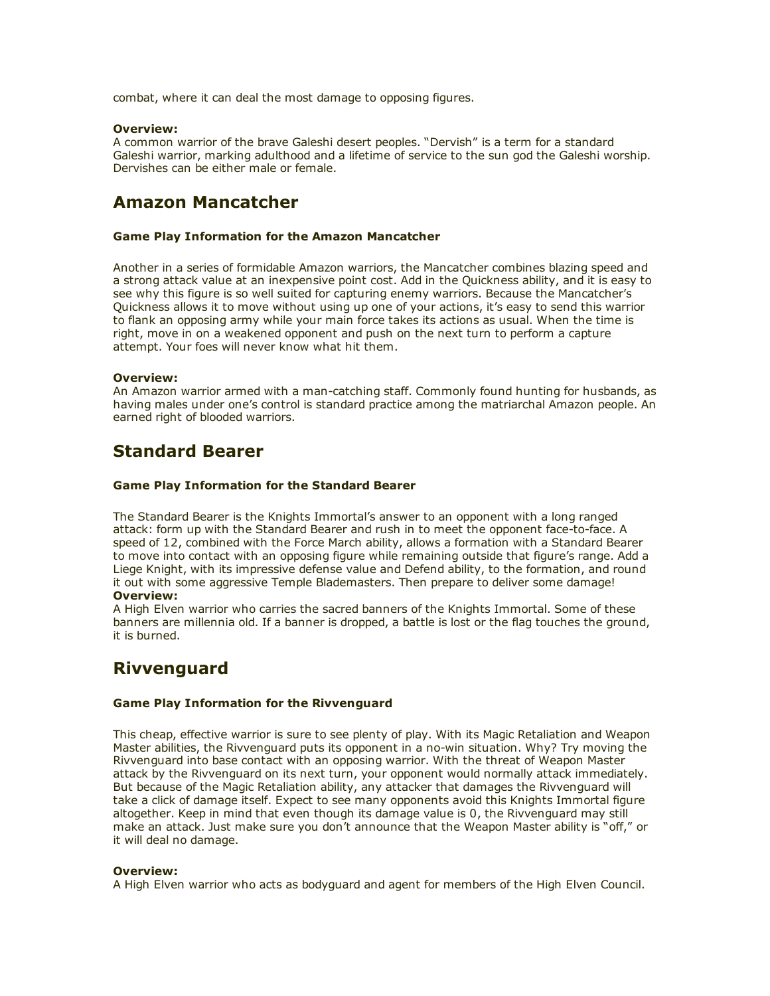combat, where it can deal the most damage to opposing figures.

#### Overview:

A common warrior of the brave Galeshi desert peoples. "Dervish" is a term for a standard Galeshi warrior, marking adulthood and a lifetime of service to the sun god the Galeshi worship. Dervishes can be either male or female.

## Amazon Mancatcher

#### Game Play Information for the Amazon Mancatcher

Another in a series of formidable Amazon warriors, the Mancatcher combines blazing speed and a strong attack value at an inexpensive point cost. Add in the Quickness ability, and it is easy to see why this figure is so well suited for capturing enemy warriors. Because the Mancatcher's Quickness allows it to move without using up one of your actions, it's easy to send this warrior to flank an opposing army while your main force takes its actions as usual. When the time is right, move in on a weakened opponent and push on the next turn to perform a capture attempt. Your foes will never know what hit them.

#### Overview:

An Amazon warrior armed with a man-catching staff. Commonly found hunting for husbands, as having males under one's control is standard practice among the matriarchal Amazon people. An earned right of blooded warriors.

## Standard Bearer

#### Game Play Information for the Standard Bearer

The Standard Bearer is the Knights Immortal's answer to an opponent with a long ranged attack: form up with the Standard Bearer and rush in to meet the opponent face-to-face. A speed of 12, combined with the Force March ability, allows a formation with a Standard Bearer to move into contact with an opposing figure while remaining outside that figure's range. Add a Liege Knight, with its impressive defense value and Defend ability, to the formation, and round it out with some aggressive Temple Blademasters. Then prepare to deliver some damage! Overview:

A High Elven warrior who carries the sacred banners of the Knights Immortal. Some of these banners are millennia old. If a banner is dropped, a battle is lost or the flag touches the ground, it is burned.

## Rivvenguard

#### Game Play Information for the Rivvenguard

This cheap, effective warrior is sure to see plenty of play. With its Magic Retaliation and Weapon Master abilities, the Rivvenguard puts its opponent in a no-win situation. Why? Try moving the Rivvenguard into base contact with an opposing warrior. With the threat of Weapon Master attack by the Rivvenguard on its next turn, your opponent would normally attack immediately. But because of the Magic Retaliation ability, any attacker that damages the Rivvenguard will take a click of damage itself. Expect to see many opponents avoid this Knights Immortal figure altogether. Keep in mind that even though its damage value is 0, the Rivvenguard may still make an attack. Just make sure you don't announce that the Weapon Master ability is "off," or it will deal no damage.

#### Overview:

A High Elven warrior who acts as bodyguard and agent for members of the High Elven Council.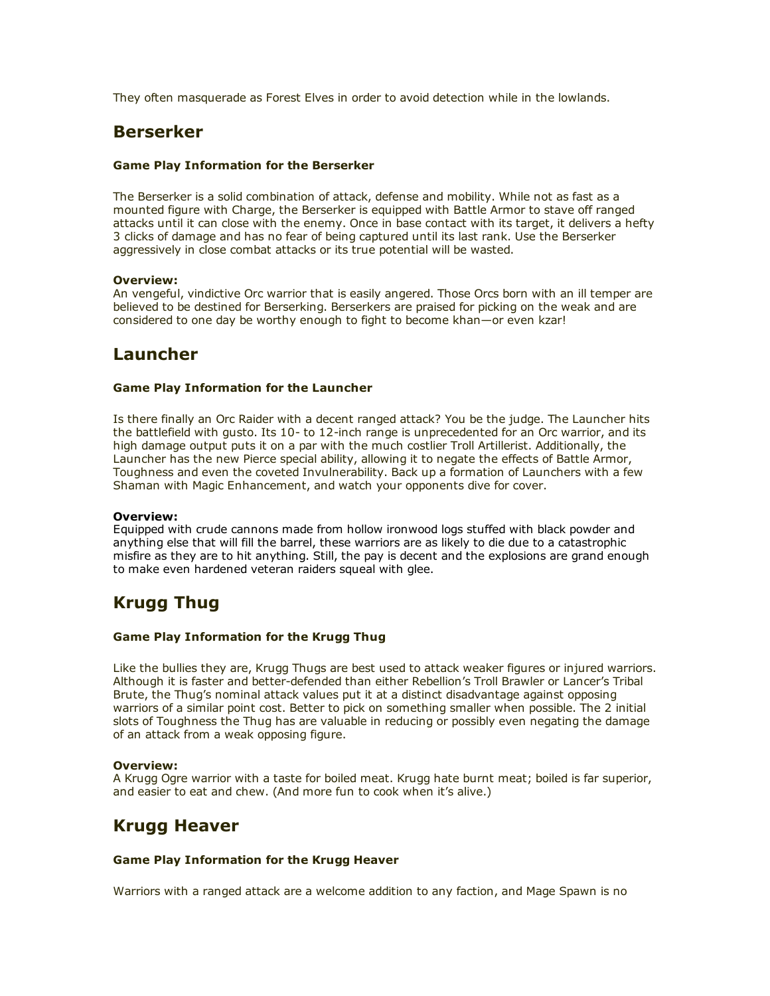They often masquerade as Forest Elves in order to avoid detection while in the lowlands.

### Berserker

#### Game Play Information for the Berserker

The Berserker is a solid combination of attack, defense and mobility. While not as fast as a mounted figure with Charge, the Berserker is equipped with Battle Armor to stave off ranged attacks until it can close with the enemy. Once in base contact with its target, it delivers a hefty 3 clicks of damage and has no fear of being captured until its last rank. Use the Berserker aggressively in close combat attacks or its true potential will be wasted.

#### Overview:

An vengeful, vindictive Orc warrior that is easily angered. Those Orcs born with an ill temper are believed to be destined for Berserking. Berserkers are praised for picking on the weak and are considered to one day be worthy enough to fight to become khan—or even kzar!

## Launcher

#### Game Play Information for the Launcher

Is there finally an Orc Raider with a decent ranged attack? You be the judge. The Launcher hits the battlefield with gusto. Its 10- to 12-inch range is unprecedented for an Orc warrior, and its high damage output puts it on a par with the much costlier Troll Artillerist. Additionally, the Launcher has the new Pierce special ability, allowing it to negate the effects of Battle Armor, Toughness and even the coveted Invulnerability. Back up a formation of Launchers with a few Shaman with Magic Enhancement, and watch your opponents dive for cover.

#### Overview:

Equipped with crude cannons made from hollow ironwood logs stuffed with black powder and anything else that will fill the barrel, these warriors are as likely to die due to a catastrophic misfire as they are to hit anything. Still, the pay is decent and the explosions are grand enough to make even hardened veteran raiders squeal with glee.

## Krugg Thug

#### Game Play Information for the Krugg Thug

Like the bullies they are, Krugg Thugs are best used to attack weaker figures or injured warriors. Although it is faster and better-defended than either Rebellion's Troll Brawler or Lancer's Tribal Brute, the Thug's nominal attack values put it at a distinct disadvantage against opposing warriors of a similar point cost. Better to pick on something smaller when possible. The 2 initial slots of Toughness the Thug has are valuable in reducing or possibly even negating the damage of an attack from a weak opposing figure.

#### Overview:

A Krugg Ogre warrior with a taste for boiled meat. Krugg hate burnt meat; boiled is far superior, and easier to eat and chew. (And more fun to cook when it's alive.)

## Krugg Heaver

#### Game Play Information for the Krugg Heaver

Warriors with a ranged attack are a welcome addition to any faction, and Mage Spawn is no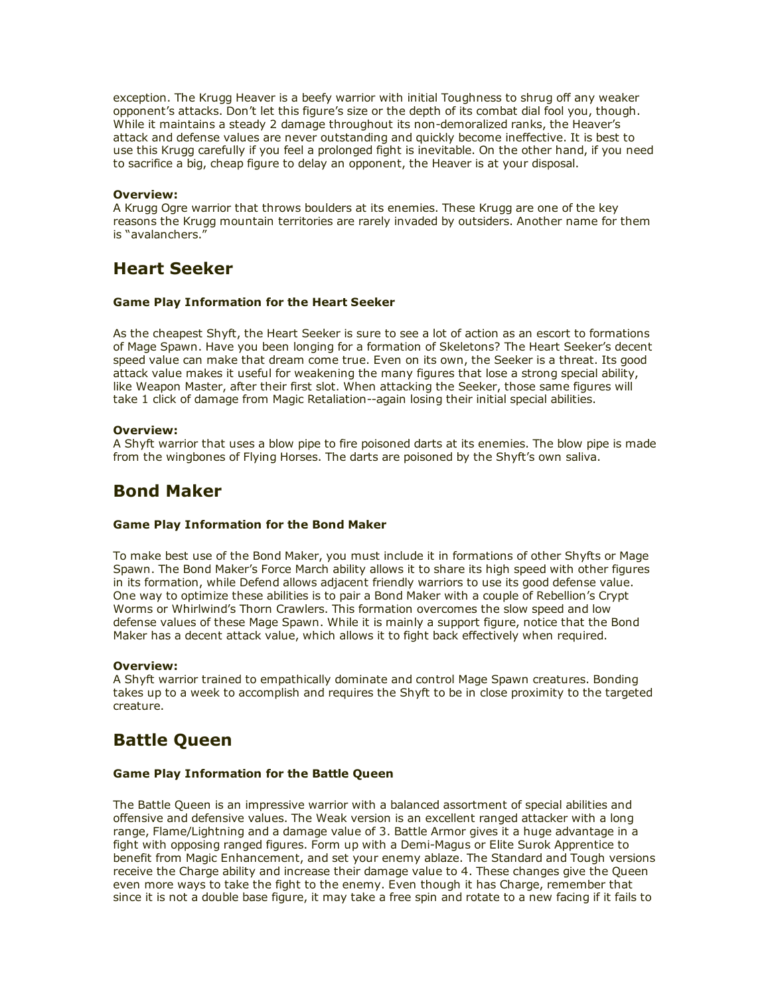exception. The Krugg Heaver is a beefy warrior with initial Toughness to shrug off any weaker opponent's attacks. Don't let this figure's size or the depth of its combat dial fool you, though. While it maintains a steady 2 damage throughout its non-demoralized ranks, the Heaver's attack and defense values are never outstanding and quickly become ineffective. It is best to use this Krugg carefully if you feel a prolonged fight is inevitable. On the other hand, if you need to sacrifice a big, cheap figure to delay an opponent, the Heaver is at your disposal.

#### Overview:

A Krugg Ogre warrior that throws boulders at its enemies. These Krugg are one of the key reasons the Krugg mountain territories are rarely invaded by outsiders. Another name for them is "avalanchers."

### Heart Seeker

#### Game Play Information for the Heart Seeker

As the cheapest Shyft, the Heart Seeker is sure to see a lot of action as an escort to formations of Mage Spawn. Have you been longing for a formation of Skeletons? The Heart Seeker's decent speed value can make that dream come true. Even on its own, the Seeker is a threat. Its good attack value makes it useful for weakening the many figures that lose a strong special ability, like Weapon Master, after their first slot. When attacking the Seeker, those same figures will take 1 click of damage from Magic Retaliation--again losing their initial special abilities.

#### Overview:

A Shyft warrior that uses a blow pipe to fire poisoned darts at its enemies. The blow pipe is made from the wingbones of Flying Horses. The darts are poisoned by the Shyft's own saliva.

### Bond Maker

#### Game Play Information for the Bond Maker

To make best use of the Bond Maker, you must include it in formations of other Shyfts or Mage Spawn. The Bond Maker's Force March ability allows it to share its high speed with other figures in its formation, while Defend allows adjacent friendly warriors to use its good defense value. One way to optimize these abilities is to pair a Bond Maker with a couple of Rebellion's Crypt Worms or Whirlwind's Thorn Crawlers. This formation overcomes the slow speed and low defense values of these Mage Spawn. While it is mainly a support figure, notice that the Bond Maker has a decent attack value, which allows it to fight back effectively when required.

#### Overview:

A Shyft warrior trained to empathically dominate and control Mage Spawn creatures. Bonding takes up to a week to accomplish and requires the Shyft to be in close proximity to the targeted creature.

# Battle Queen

#### Game Play Information for the Battle Queen

The Battle Queen is an impressive warrior with a balanced assortment of special abilities and offensive and defensive values. The Weak version is an excellent ranged attacker with a long range, Flame/Lightning and a damage value of 3. Battle Armor gives it a huge advantage in a fight with opposing ranged figures. Form up with a Demi-Magus or Elite Surok Apprentice to benefit from Magic Enhancement, and set your enemy ablaze. The Standard and Tough versions receive the Charge ability and increase their damage value to 4. These changes give the Queen even more ways to take the fight to the enemy. Even though it has Charge, remember that since it is not a double base figure, it may take a free spin and rotate to a new facing if it fails to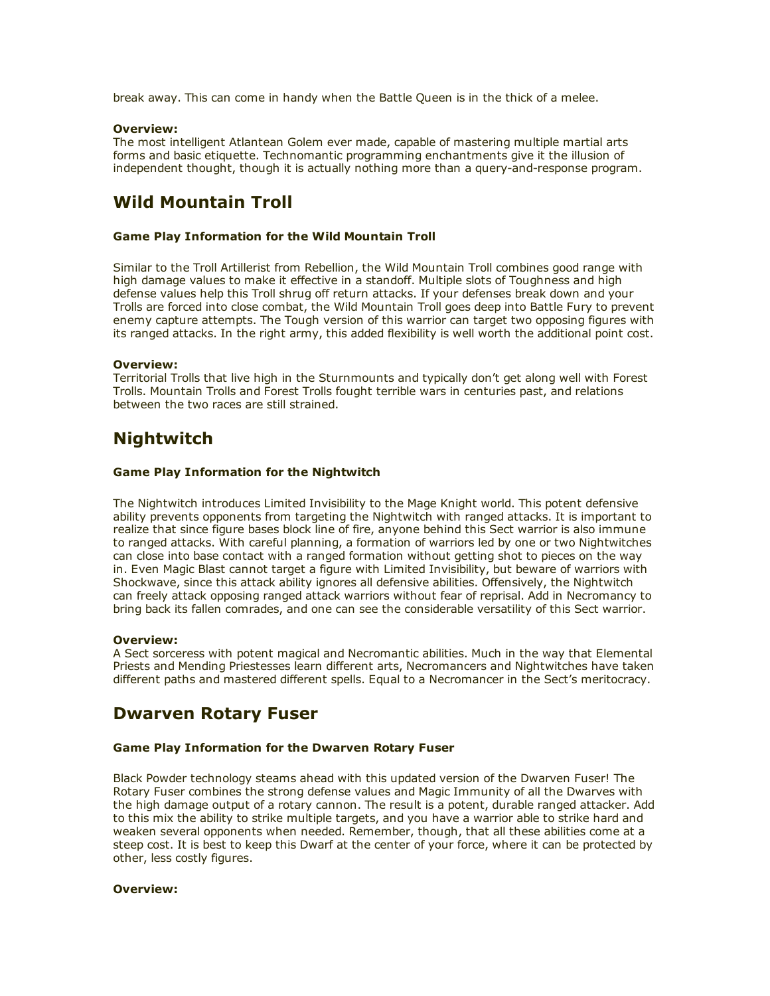break away. This can come in handy when the Battle Queen is in the thick of a melee.

#### Overview:

The most intelligent Atlantean Golem ever made, capable of mastering multiple martial arts forms and basic etiquette. Technomantic programming enchantments give it the illusion of independent thought, though it is actually nothing more than a query-and-response program.

# Wild Mountain Troll

#### Game Play Information for the Wild Mountain Troll

Similar to the Troll Artillerist from Rebellion, the Wild Mountain Troll combines good range with high damage values to make it effective in a standoff. Multiple slots of Toughness and high defense values help this Troll shrug off return attacks. If your defenses break down and your Trolls are forced into close combat, the Wild Mountain Troll goes deep into Battle Fury to prevent enemy capture attempts. The Tough version of this warrior can target two opposing figures with its ranged attacks. In the right army, this added flexibility is well worth the additional point cost.

#### Overview:

Territorial Trolls that live high in the Sturnmounts and typically don't get along well with Forest Trolls. Mountain Trolls and Forest Trolls fought terrible wars in centuries past, and relations between the two races are still strained.

## Nightwitch

#### Game Play Information for the Nightwitch

The Nightwitch introduces Limited Invisibility to the Mage Knight world. This potent defensive ability prevents opponents from targeting the Nightwitch with ranged attacks. It is important to realize that since figure bases block line of fire, anyone behind this Sect warrior is also immune to ranged attacks. With careful planning, a formation of warriors led by one or two Nightwitches can close into base contact with a ranged formation without getting shot to pieces on the way in. Even Magic Blast cannot target a figure with Limited Invisibility, but beware of warriors with Shockwave, since this attack ability ignores all defensive abilities. Offensively, the Nightwitch can freely attack opposing ranged attack warriors without fear of reprisal. Add in Necromancy to bring back its fallen comrades, and one can see the considerable versatility of this Sect warrior.

#### Overview:

A Sect sorceress with potent magical and Necromantic abilities. Much in the way that Elemental Priests and Mending Priestesses learn different arts, Necromancers and Nightwitches have taken different paths and mastered different spells. Equal to a Necromancer in the Sect's meritocracy.

### Dwarven Rotary Fuser

#### Game Play Information for the Dwarven Rotary Fuser

Black Powder technology steams ahead with this updated version of the Dwarven Fuser! The Rotary Fuser combines the strong defense values and Magic Immunity of all the Dwarves with the high damage output of a rotary cannon. The result is a potent, durable ranged attacker. Add to this mix the ability to strike multiple targets, and you have a warrior able to strike hard and weaken several opponents when needed. Remember, though, that all these abilities come at a steep cost. It is best to keep this Dwarf at the center of your force, where it can be protected by other, less costly figures.

#### Overview: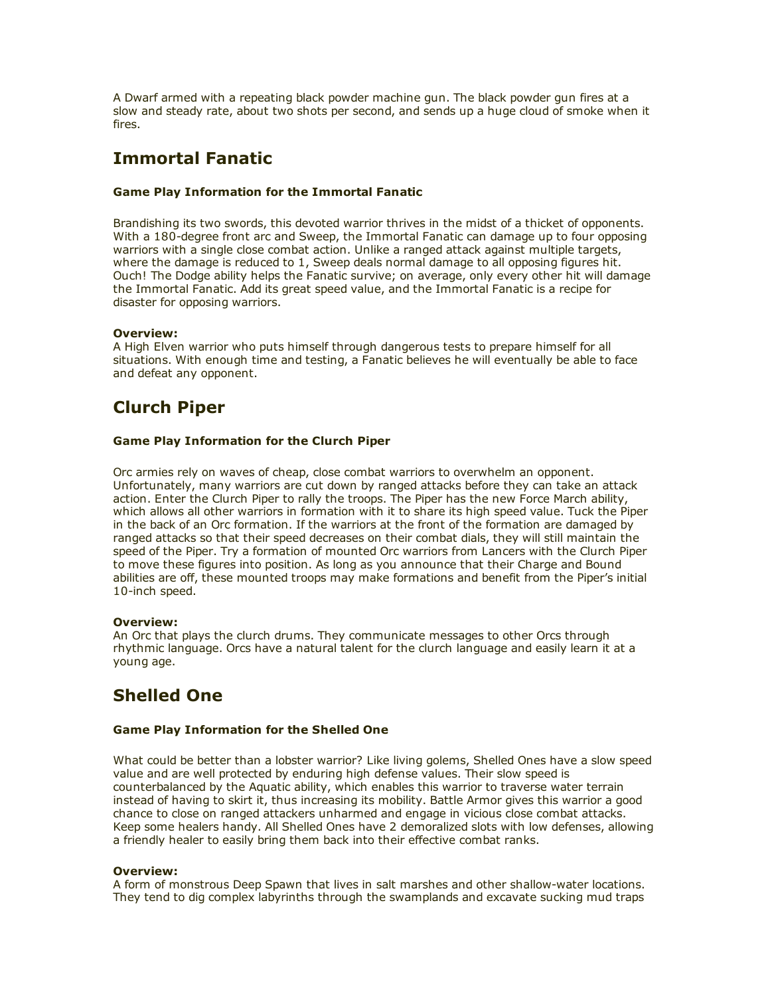A Dwarf armed with a repeating black powder machine gun. The black powder gun fires at a slow and steady rate, about two shots per second, and sends up a huge cloud of smoke when it fires.

# Immortal Fanatic

#### Game Play Information for the Immortal Fanatic

Brandishing its two swords, this devoted warrior thrives in the midst of a thicket of opponents. With a 180-degree front arc and Sweep, the Immortal Fanatic can damage up to four opposing warriors with a single close combat action. Unlike a ranged attack against multiple targets, where the damage is reduced to 1, Sweep deals normal damage to all opposing figures hit. Ouch! The Dodge ability helps the Fanatic survive; on average, only every other hit will damage the Immortal Fanatic. Add its great speed value, and the Immortal Fanatic is a recipe for disaster for opposing warriors.

#### Overview:

A High Elven warrior who puts himself through dangerous tests to prepare himself for all situations. With enough time and testing, a Fanatic believes he will eventually be able to face and defeat any opponent.

# Clurch Piper

#### Game Play Information for the Clurch Piper

Orc armies rely on waves of cheap, close combat warriors to overwhelm an opponent. Unfortunately, many warriors are cut down by ranged attacks before they can take an attack action. Enter the Clurch Piper to rally the troops. The Piper has the new Force March ability, which allows all other warriors in formation with it to share its high speed value. Tuck the Piper in the back of an Orc formation. If the warriors at the front of the formation are damaged by ranged attacks so that their speed decreases on their combat dials, they will still maintain the speed of the Piper. Try a formation of mounted Orc warriors from Lancers with the Clurch Piper to move these figures into position. As long as you announce that their Charge and Bound abilities are off, these mounted troops may make formations and benefit from the Piper's initial 10-inch speed.

#### Overview:

An Orc that plays the clurch drums. They communicate messages to other Orcs through rhythmic language. Orcs have a natural talent for the clurch language and easily learn it at a young age.

# Shelled One

#### Game Play Information for the Shelled One

What could be better than a lobster warrior? Like living golems, Shelled Ones have a slow speed value and are well protected by enduring high defense values. Their slow speed is counterbalanced by the Aquatic ability, which enables this warrior to traverse water terrain instead of having to skirt it, thus increasing its mobility. Battle Armor gives this warrior a good chance to close on ranged attackers unharmed and engage in vicious close combat attacks. Keep some healers handy. All Shelled Ones have 2 demoralized slots with low defenses, allowing a friendly healer to easily bring them back into their effective combat ranks.

#### Overview:

A form of monstrous Deep Spawn that lives in salt marshes and other shallow-water locations. They tend to dig complex labyrinths through the swamplands and excavate sucking mud traps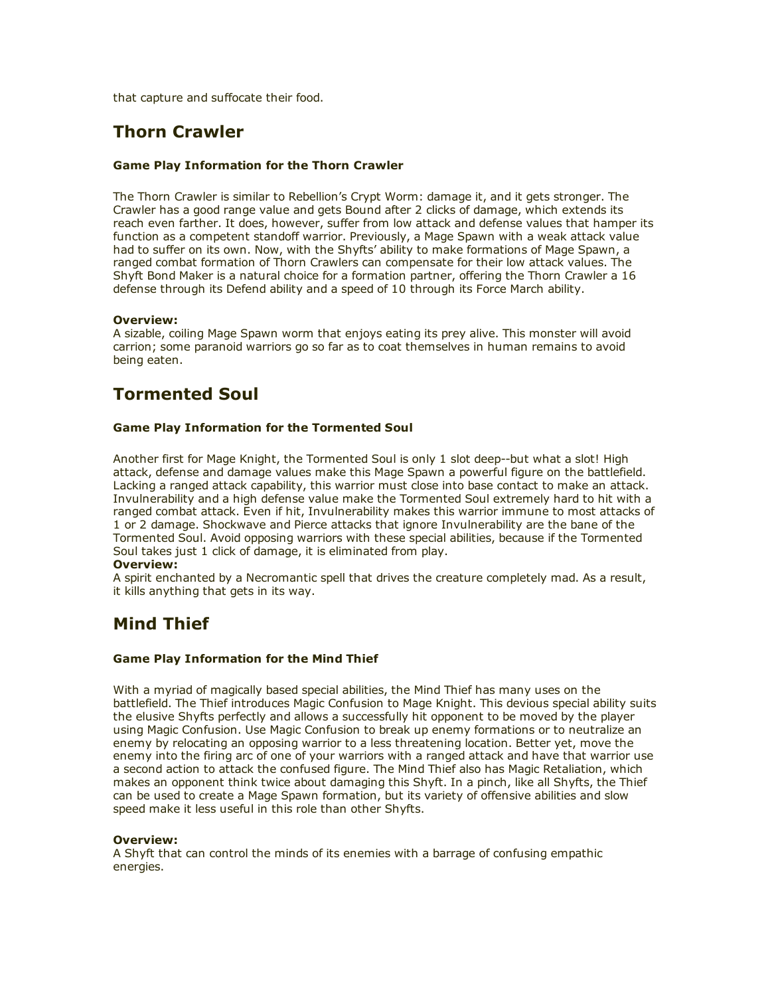that capture and suffocate their food.

## Thorn Crawler

#### Game Play Information for the Thorn Crawler

The Thorn Crawler is similar to Rebellion's Crypt Worm: damage it, and it gets stronger. The Crawler has a good range value and gets Bound after 2 clicks of damage, which extends its reach even farther. It does, however, suffer from low attack and defense values that hamper its function as a competent standoff warrior. Previously, a Mage Spawn with a weak attack value had to suffer on its own. Now, with the Shyfts' ability to make formations of Mage Spawn, a ranged combat formation of Thorn Crawlers can compensate for their low attack values. The Shyft Bond Maker is a natural choice for a formation partner, offering the Thorn Crawler a 16 defense through its Defend ability and a speed of 10 through its Force March ability.

#### Overview:

A sizable, coiling Mage Spawn worm that enjoys eating its prey alive. This monster will avoid carrion; some paranoid warriors go so far as to coat themselves in human remains to avoid being eaten.

## Tormented Soul

#### Game Play Information for the Tormented Soul

Another first for Mage Knight, the Tormented Soul is only 1 slot deep--but what a slot! High attack, defense and damage values make this Mage Spawn a powerful figure on the battlefield. Lacking a ranged attack capability, this warrior must close into base contact to make an attack. Invulnerability and a high defense value make the Tormented Soul extremely hard to hit with a ranged combat attack. Even if hit, Invulnerability makes this warrior immune to most attacks of 1 or 2 damage. Shockwave and Pierce attacks that ignore Invulnerability are the bane of the Tormented Soul. Avoid opposing warriors with these special abilities, because if the Tormented Soul takes just 1 click of damage, it is eliminated from play.

#### Overview:

A spirit enchanted by a Necromantic spell that drives the creature completely mad. As a result, it kills anything that gets in its way.

## Mind Thief

#### Game Play Information for the Mind Thief

With a myriad of magically based special abilities, the Mind Thief has many uses on the battlefield. The Thief introduces Magic Confusion to Mage Knight. This devious special ability suits the elusive Shyfts perfectly and allows a successfully hit opponent to be moved by the player using Magic Confusion. Use Magic Confusion to break up enemy formations or to neutralize an enemy by relocating an opposing warrior to a less threatening location. Better yet, move the enemy into the firing arc of one of your warriors with a ranged attack and have that warrior use a second action to attack the confused figure. The Mind Thief also has Magic Retaliation, which makes an opponent think twice about damaging this Shyft. In a pinch, like all Shyfts, the Thief can be used to create a Mage Spawn formation, but its variety of offensive abilities and slow speed make it less useful in this role than other Shyfts.

#### Overview:

A Shyft that can control the minds of its enemies with a barrage of confusing empathic energies.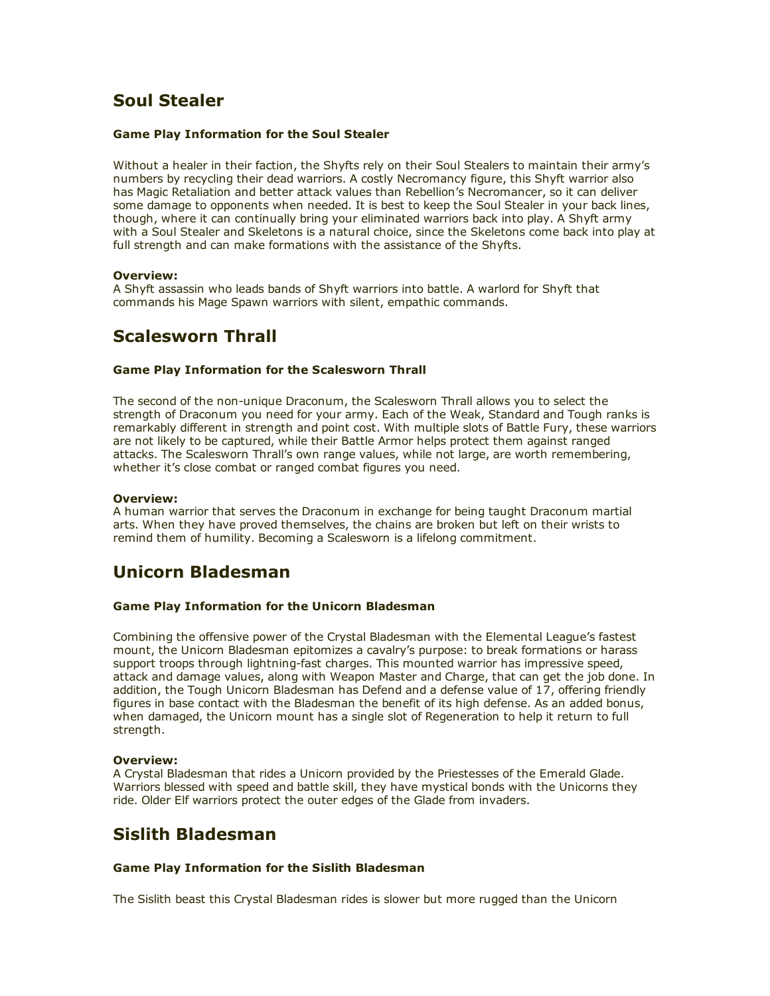## Soul Stealer

#### Game Play Information for the Soul Stealer

Without a healer in their faction, the Shyfts rely on their Soul Stealers to maintain their army's numbers by recycling their dead warriors. A costly Necromancy figure, this Shyft warrior also has Magic Retaliation and better attack values than Rebellion's Necromancer, so it can deliver some damage to opponents when needed. It is best to keep the Soul Stealer in your back lines, though, where it can continually bring your eliminated warriors back into play. A Shyft army with a Soul Stealer and Skeletons is a natural choice, since the Skeletons come back into play at full strength and can make formations with the assistance of the Shyfts.

#### Overview:

A Shyft assassin who leads bands of Shyft warriors into battle. A warlord for Shyft that commands his Mage Spawn warriors with silent, empathic commands.

### Scalesworn Thrall

#### Game Play Information for the Scalesworn Thrall

The second of the non-unique Draconum, the Scalesworn Thrall allows you to select the strength of Draconum you need for your army. Each of the Weak, Standard and Tough ranks is remarkably different in strength and point cost. With multiple slots of Battle Fury, these warriors are not likely to be captured, while their Battle Armor helps protect them against ranged attacks. The Scalesworn Thrall's own range values, while not large, are worth remembering, whether it's close combat or ranged combat figures you need.

#### Overview:

A human warrior that serves the Draconum in exchange for being taught Draconum martial arts. When they have proved themselves, the chains are broken but left on their wrists to remind them of humility. Becoming a Scalesworn is a lifelong commitment.

## Unicorn Bladesman

#### Game Play Information for the Unicorn Bladesman

Combining the offensive power of the Crystal Bladesman with the Elemental League's fastest mount, the Unicorn Bladesman epitomizes a cavalry's purpose: to break formations or harass support troops through lightning-fast charges. This mounted warrior has impressive speed, attack and damage values, along with Weapon Master and Charge, that can get the job done. In addition, the Tough Unicorn Bladesman has Defend and a defense value of 17, offering friendly figures in base contact with the Bladesman the benefit of its high defense. As an added bonus, when damaged, the Unicorn mount has a single slot of Regeneration to help it return to full strength.

#### Overview:

A Crystal Bladesman that rides a Unicorn provided by the Priestesses of the Emerald Glade. Warriors blessed with speed and battle skill, they have mystical bonds with the Unicorns they ride. Older Elf warriors protect the outer edges of the Glade from invaders.

### Sislith Bladesman

#### Game Play Information for the Sislith Bladesman

The Sislith beast this Crystal Bladesman rides is slower but more rugged than the Unicorn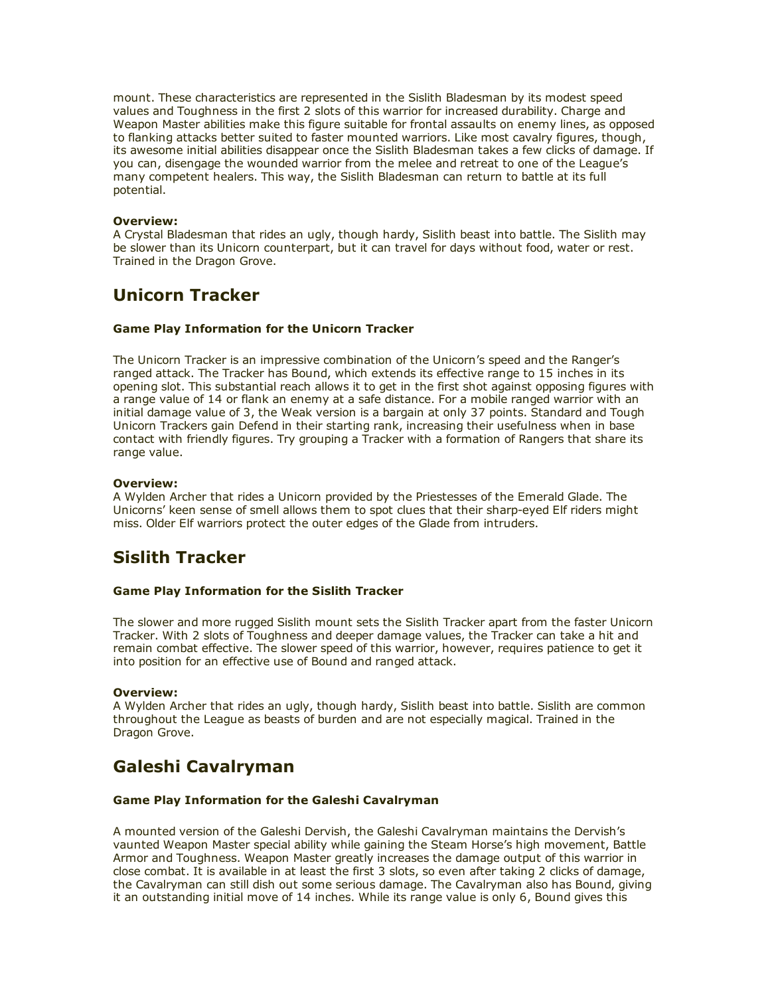mount. These characteristics are represented in the Sislith Bladesman by its modest speed values and Toughness in the first 2 slots of this warrior for increased durability. Charge and Weapon Master abilities make this figure suitable for frontal assaults on enemy lines, as opposed to flanking attacks better suited to faster mounted warriors. Like most cavalry figures, though, its awesome initial abilities disappear once the Sislith Bladesman takes a few clicks of damage. If you can, disengage the wounded warrior from the melee and retreat to one of the League's many competent healers. This way, the Sislith Bladesman can return to battle at its full potential.

#### Overview:

A Crystal Bladesman that rides an ugly, though hardy, Sislith beast into battle. The Sislith may be slower than its Unicorn counterpart, but it can travel for days without food, water or rest. Trained in the Dragon Grove.

### Unicorn Tracker

#### Game Play Information for the Unicorn Tracker

The Unicorn Tracker is an impressive combination of the Unicorn's speed and the Ranger's ranged attack. The Tracker has Bound, which extends its effective range to 15 inches in its opening slot. This substantial reach allows it to get in the first shot against opposing figures with a range value of 14 or flank an enemy at a safe distance. For a mobile ranged warrior with an initial damage value of 3, the Weak version is a bargain at only 37 points. Standard and Tough Unicorn Trackers gain Defend in their starting rank, increasing their usefulness when in base contact with friendly figures. Try grouping a Tracker with a formation of Rangers that share its range value.

#### Overview:

A Wylden Archer that rides a Unicorn provided by the Priestesses of the Emerald Glade. The Unicorns' keen sense of smell allows them to spot clues that their sharp-eyed Elf riders might miss. Older Elf warriors protect the outer edges of the Glade from intruders.

### Sislith Tracker

#### Game Play Information for the Sislith Tracker

The slower and more rugged Sislith mount sets the Sislith Tracker apart from the faster Unicorn Tracker. With 2 slots of Toughness and deeper damage values, the Tracker can take a hit and remain combat effective. The slower speed of this warrior, however, requires patience to get it into position for an effective use of Bound and ranged attack.

#### Overview:

A Wylden Archer that rides an ugly, though hardy, Sislith beast into battle. Sislith are common throughout the League as beasts of burden and are not especially magical. Trained in the Dragon Grove.

## Galeshi Cavalryman

#### Game Play Information for the Galeshi Cavalryman

A mounted version of the Galeshi Dervish, the Galeshi Cavalryman maintains the Dervish's vaunted Weapon Master special ability while gaining the Steam Horse's high movement, Battle Armor and Toughness. Weapon Master greatly increases the damage output of this warrior in close combat. It is available in at least the first 3 slots, so even after taking 2 clicks of damage, the Cavalryman can still dish out some serious damage. The Cavalryman also has Bound, giving it an outstanding initial move of 14 inches. While its range value is only 6, Bound gives this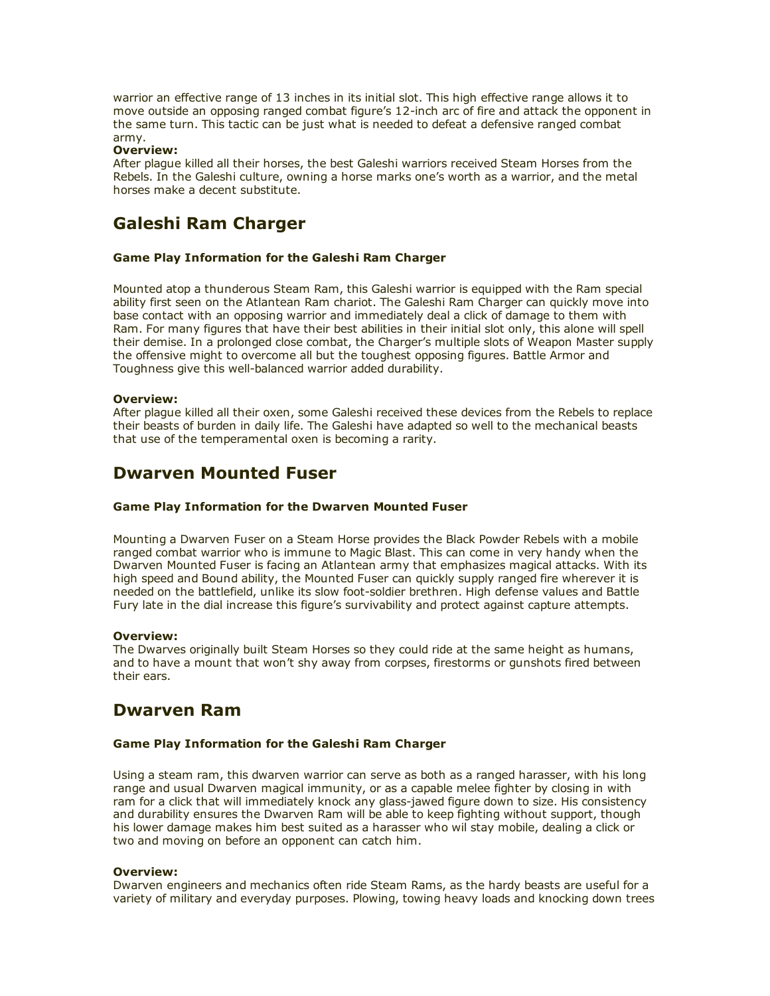warrior an effective range of 13 inches in its initial slot. This high effective range allows it to move outside an opposing ranged combat figure's 12-inch arc of fire and attack the opponent in the same turn. This tactic can be just what is needed to defeat a defensive ranged combat army.

#### Overview:

After plague killed all their horses, the best Galeshi warriors received Steam Horses from the Rebels. In the Galeshi culture, owning a horse marks one's worth as a warrior, and the metal horses make a decent substitute.

## Galeshi Ram Charger

#### Game Play Information for the Galeshi Ram Charger

Mounted atop a thunderous Steam Ram, this Galeshi warrior is equipped with the Ram special ability first seen on the Atlantean Ram chariot. The Galeshi Ram Charger can quickly move into base contact with an opposing warrior and immediately deal a click of damage to them with Ram. For many figures that have their best abilities in their initial slot only, this alone will spell their demise. In a prolonged close combat, the Charger's multiple slots of Weapon Master supply the offensive might to overcome all but the toughest opposing figures. Battle Armor and Toughness give this well-balanced warrior added durability.

#### Overview:

After plague killed all their oxen, some Galeshi received these devices from the Rebels to replace their beasts of burden in daily life. The Galeshi have adapted so well to the mechanical beasts that use of the temperamental oxen is becoming a rarity.

### Dwarven Mounted Fuser

#### Game Play Information for the Dwarven Mounted Fuser

Mounting a Dwarven Fuser on a Steam Horse provides the Black Powder Rebels with a mobile ranged combat warrior who is immune to Magic Blast. This can come in very handy when the Dwarven Mounted Fuser is facing an Atlantean army that emphasizes magical attacks. With its high speed and Bound ability, the Mounted Fuser can quickly supply ranged fire wherever it is needed on the battlefield, unlike its slow foot-soldier brethren. High defense values and Battle Fury late in the dial increase this figure's survivability and protect against capture attempts.

#### Overview:

The Dwarves originally built Steam Horses so they could ride at the same height as humans, and to have a mount that won't shy away from corpses, firestorms or gunshots fired between their ears.

### Dwarven Ram

#### Game Play Information for the Galeshi Ram Charger

Using a steam ram, this dwarven warrior can serve as both as a ranged harasser, with his long range and usual Dwarven magical immunity, or as a capable melee fighter by closing in with ram for a click that will immediately knock any glass-jawed figure down to size. His consistency and durability ensures the Dwarven Ram will be able to keep fighting without support, though his lower damage makes him best suited as a harasser who wil stay mobile, dealing a click or two and moving on before an opponent can catch him.

#### Overview:

Dwarven engineers and mechanics often ride Steam Rams, as the hardy beasts are useful for a variety of military and everyday purposes. Plowing, towing heavy loads and knocking down trees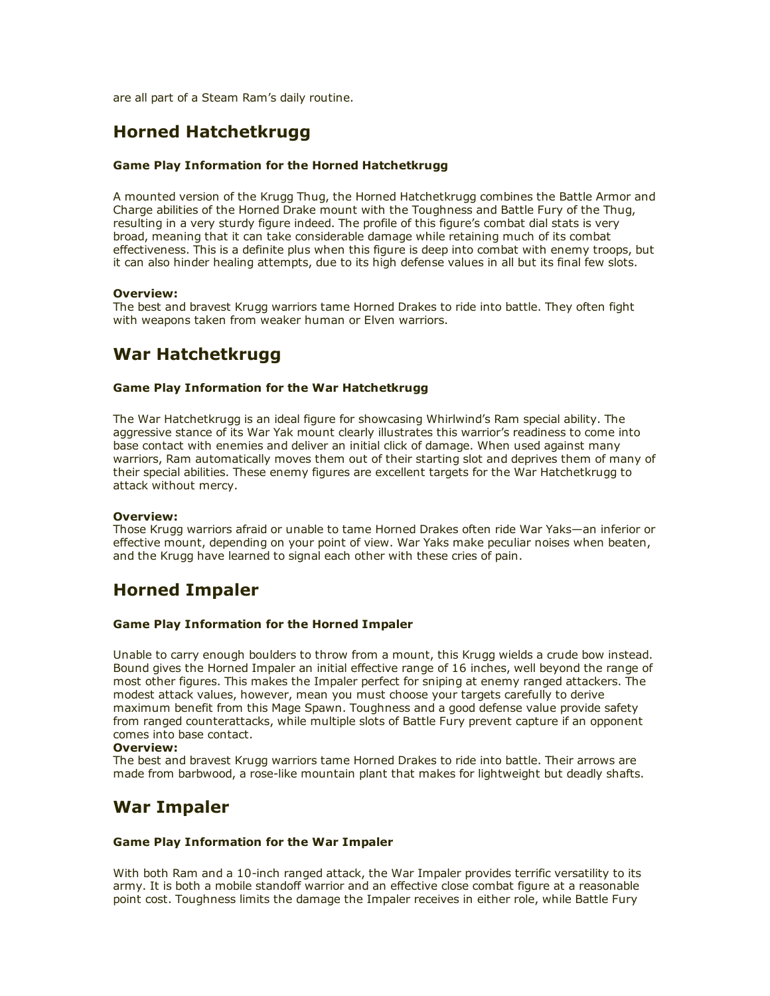are all part of a Steam Ram's daily routine.

## Horned Hatchetkrugg

#### Game Play Information for the Horned Hatchetkrugg

A mounted version of the Krugg Thug, the Horned Hatchetkrugg combines the Battle Armor and Charge abilities of the Horned Drake mount with the Toughness and Battle Fury of the Thug, resulting in a very sturdy figure indeed. The profile of this figure's combat dial stats is very broad, meaning that it can take considerable damage while retaining much of its combat effectiveness. This is a definite plus when this figure is deep into combat with enemy troops, but it can also hinder healing attempts, due to its high defense values in all but its final few slots.

#### Overview:

The best and bravest Krugg warriors tame Horned Drakes to ride into battle. They often fight with weapons taken from weaker human or Elven warriors.

## War Hatchetkrugg

#### Game Play Information for the War Hatchetkrugg

The War Hatchetkrugg is an ideal figure for showcasing Whirlwind's Ram special ability. The aggressive stance of its War Yak mount clearly illustrates this warrior's readiness to come into base contact with enemies and deliver an initial click of damage. When used against many warriors, Ram automatically moves them out of their starting slot and deprives them of many of their special abilities. These enemy figures are excellent targets for the War Hatchetkrugg to attack without mercy.

#### Overview:

Those Krugg warriors afraid or unable to tame Horned Drakes often ride War Yaks—an inferior or effective mount, depending on your point of view. War Yaks make peculiar noises when beaten, and the Krugg have learned to signal each other with these cries of pain.

## Horned Impaler

#### Game Play Information for the Horned Impaler

Unable to carry enough boulders to throw from a mount, this Krugg wields a crude bow instead. Bound gives the Horned Impaler an initial effective range of 16 inches, well beyond the range of most other figures. This makes the Impaler perfect for sniping at enemy ranged attackers. The modest attack values, however, mean you must choose your targets carefully to derive maximum benefit from this Mage Spawn. Toughness and a good defense value provide safety from ranged counterattacks, while multiple slots of Battle Fury prevent capture if an opponent comes into base contact.

#### Overview:

The best and bravest Krugg warriors tame Horned Drakes to ride into battle. Their arrows are made from barbwood, a rose-like mountain plant that makes for lightweight but deadly shafts.

### War Impaler

#### Game Play Information for the War Impaler

With both Ram and a 10-inch ranged attack, the War Impaler provides terrific versatility to its army. It is both a mobile standoff warrior and an effective close combat figure at a reasonable point cost. Toughness limits the damage the Impaler receives in either role, while Battle Fury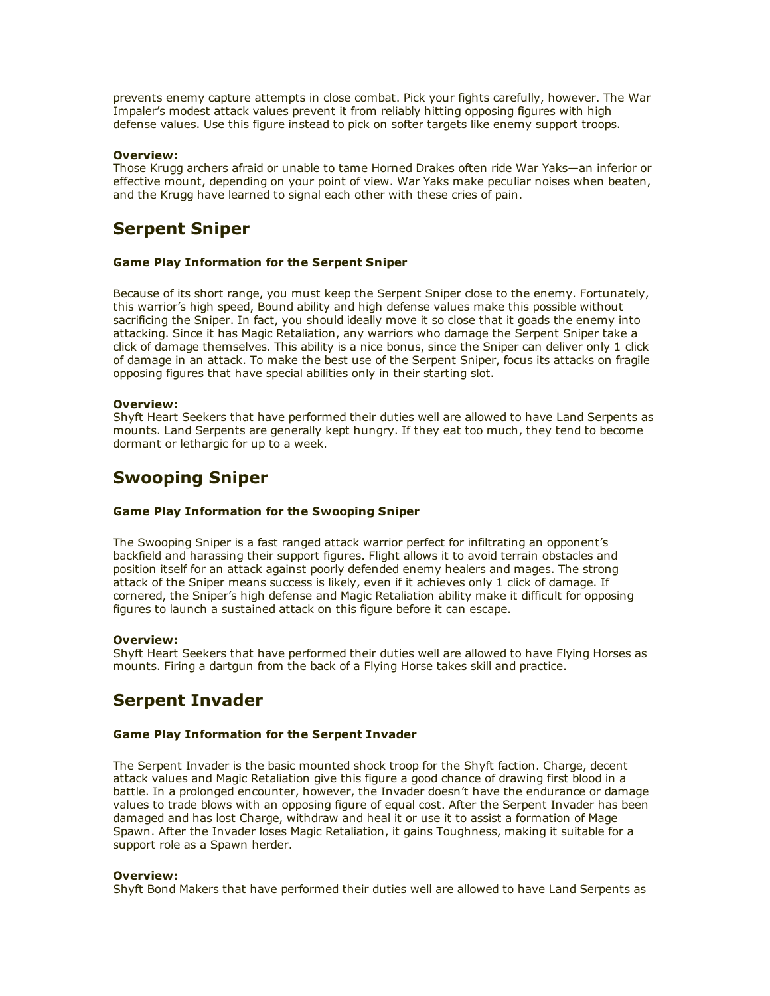prevents enemy capture attempts in close combat. Pick your fights carefully, however. The War Impaler's modest attack values prevent it from reliably hitting opposing figures with high defense values. Use this figure instead to pick on softer targets like enemy support troops.

#### Overview:

Those Krugg archers afraid or unable to tame Horned Drakes often ride War Yaks—an inferior or effective mount, depending on your point of view. War Yaks make peculiar noises when beaten, and the Krugg have learned to signal each other with these cries of pain.

### Serpent Sniper

#### Game Play Information for the Serpent Sniper

Because of its short range, you must keep the Serpent Sniper close to the enemy. Fortunately, this warrior's high speed, Bound ability and high defense values make this possible without sacrificing the Sniper. In fact, you should ideally move it so close that it goads the enemy into attacking. Since it has Magic Retaliation, any warriors who damage the Serpent Sniper take a click of damage themselves. This ability is a nice bonus, since the Sniper can deliver only 1 click of damage in an attack. To make the best use of the Serpent Sniper, focus its attacks on fragile opposing figures that have special abilities only in their starting slot.

#### Overview:

Shyft Heart Seekers that have performed their duties well are allowed to have Land Serpents as mounts. Land Serpents are generally kept hungry. If they eat too much, they tend to become dormant or lethargic for up to a week.

### Swooping Sniper

#### Game Play Information for the Swooping Sniper

The Swooping Sniper is a fast ranged attack warrior perfect for infiltrating an opponent's backfield and harassing their support figures. Flight allows it to avoid terrain obstacles and position itself for an attack against poorly defended enemy healers and mages. The strong attack of the Sniper means success is likely, even if it achieves only 1 click of damage. If cornered, the Sniper's high defense and Magic Retaliation ability make it difficult for opposing figures to launch a sustained attack on this figure before it can escape.

#### Overview:

Shyft Heart Seekers that have performed their duties well are allowed to have Flying Horses as mounts. Firing a dartgun from the back of a Flying Horse takes skill and practice.

## Serpent Invader

#### Game Play Information for the Serpent Invader

The Serpent Invader is the basic mounted shock troop for the Shyft faction. Charge, decent attack values and Magic Retaliation give this figure a good chance of drawing first blood in a battle. In a prolonged encounter, however, the Invader doesn't have the endurance or damage values to trade blows with an opposing figure of equal cost. After the Serpent Invader has been damaged and has lost Charge, withdraw and heal it or use it to assist a formation of Mage Spawn. After the Invader loses Magic Retaliation, it gains Toughness, making it suitable for a support role as a Spawn herder.

#### Overview:

Shyft Bond Makers that have performed their duties well are allowed to have Land Serpents as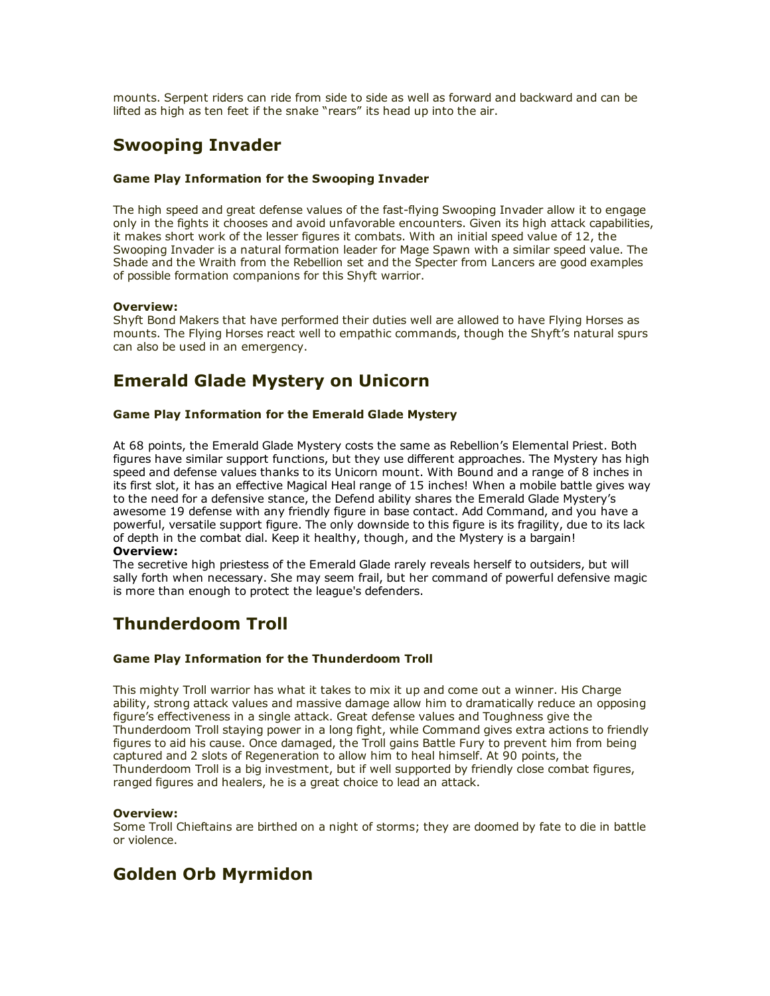mounts. Serpent riders can ride from side to side as well as forward and backward and can be lifted as high as ten feet if the snake "rears" its head up into the air.

## Swooping Invader

#### Game Play Information for the Swooping Invader

The high speed and great defense values of the fast-flying Swooping Invader allow it to engage only in the fights it chooses and avoid unfavorable encounters. Given its high attack capabilities, it makes short work of the lesser figures it combats. With an initial speed value of 12, the Swooping Invader is a natural formation leader for Mage Spawn with a similar speed value. The Shade and the Wraith from the Rebellion set and the Specter from Lancers are good examples of possible formation companions for this Shyft warrior.

#### Overview:

Shyft Bond Makers that have performed their duties well are allowed to have Flying Horses as mounts. The Flying Horses react well to empathic commands, though the Shyft's natural spurs can also be used in an emergency.

## Emerald Glade Mystery on Unicorn

#### Game Play Information for the Emerald Glade Mystery

At 68 points, the Emerald Glade Mystery costs the same as Rebellion's Elemental Priest. Both figures have similar support functions, but they use different approaches. The Mystery has high speed and defense values thanks to its Unicorn mount. With Bound and a range of 8 inches in its first slot, it has an effective Magical Heal range of 15 inches! When a mobile battle gives way to the need for a defensive stance, the Defend ability shares the Emerald Glade Mystery's awesome 19 defense with any friendly figure in base contact. Add Command, and you have a powerful, versatile support figure. The only downside to this figure is its fragility, due to its lack of depth in the combat dial. Keep it healthy, though, and the Mystery is a bargain!

#### Overview:

The secretive high priestess of the Emerald Glade rarely reveals herself to outsiders, but will sally forth when necessary. She may seem frail, but her command of powerful defensive magic is more than enough to protect the league's defenders.

## Thunderdoom Troll

#### Game Play Information for the Thunderdoom Troll

This mighty Troll warrior has what it takes to mix it up and come out a winner. His Charge ability, strong attack values and massive damage allow him to dramatically reduce an opposing figure's effectiveness in a single attack. Great defense values and Toughness give the Thunderdoom Troll staying power in a long fight, while Command gives extra actions to friendly figures to aid his cause. Once damaged, the Troll gains Battle Fury to prevent him from being captured and 2 slots of Regeneration to allow him to heal himself. At 90 points, the Thunderdoom Troll is a big investment, but if well supported by friendly close combat figures, ranged figures and healers, he is a great choice to lead an attack.

#### Overview:

Some Troll Chieftains are birthed on a night of storms; they are doomed by fate to die in battle or violence.

## Golden Orb Myrmidon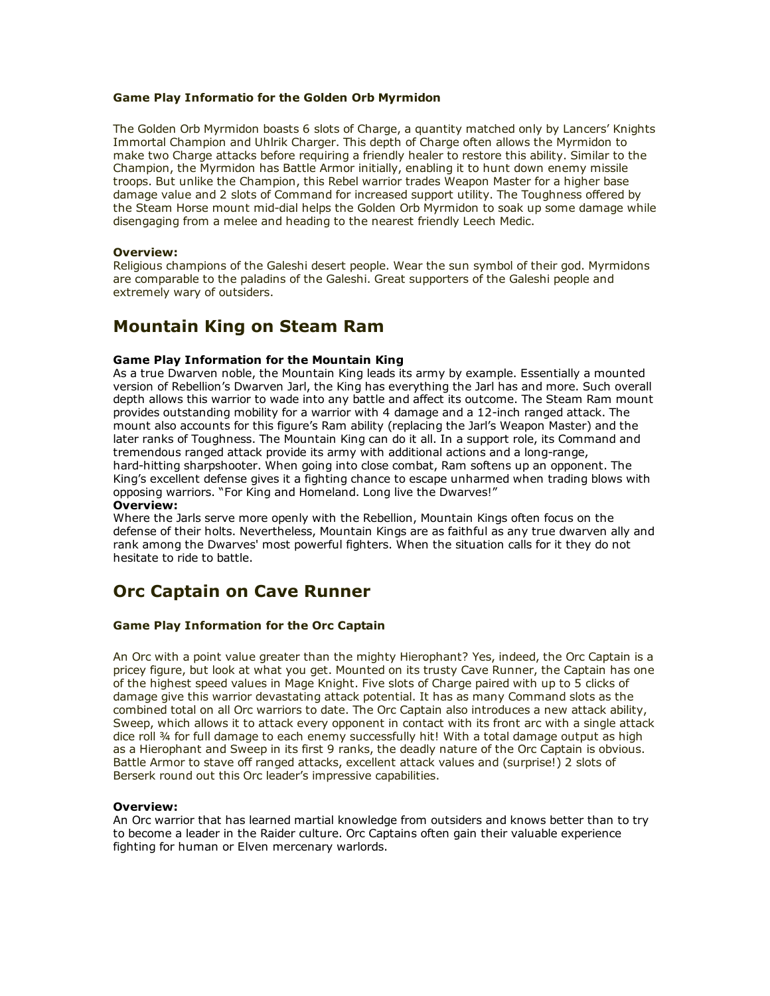#### Game Play Informatio for the Golden Orb Myrmidon

The Golden Orb Myrmidon boasts 6 slots of Charge, a quantity matched only by Lancers' Knights Immortal Champion and Uhlrik Charger. This depth of Charge often allows the Myrmidon to make two Charge attacks before requiring a friendly healer to restore this ability. Similar to the Champion, the Myrmidon has Battle Armor initially, enabling it to hunt down enemy missile troops. But unlike the Champion, this Rebel warrior trades Weapon Master for a higher base damage value and 2 slots of Command for increased support utility. The Toughness offered by the Steam Horse mount mid-dial helps the Golden Orb Myrmidon to soak up some damage while disengaging from a melee and heading to the nearest friendly Leech Medic.

#### Overview:

Religious champions of the Galeshi desert people. Wear the sun symbol of their god. Myrmidons are comparable to the paladins of the Galeshi. Great supporters of the Galeshi people and extremely wary of outsiders.

## Mountain King on Steam Ram

#### Game Play Information for the Mountain King

As a true Dwarven noble, the Mountain King leads its army by example. Essentially a mounted version of Rebellion's Dwarven Jarl, the King has everything the Jarl has and more. Such overall depth allows this warrior to wade into any battle and affect its outcome. The Steam Ram mount provides outstanding mobility for a warrior with 4 damage and a 12-inch ranged attack. The mount also accounts for this figure's Ram ability (replacing the Jarl's Weapon Master) and the later ranks of Toughness. The Mountain King can do it all. In a support role, its Command and tremendous ranged attack provide its army with additional actions and a long-range, hard-hitting sharpshooter. When going into close combat, Ram softens up an opponent. The King's excellent defense gives it a fighting chance to escape unharmed when trading blows with opposing warriors. "For King and Homeland. Long live the Dwarves!"

#### Overview:

Where the Jarls serve more openly with the Rebellion, Mountain Kings often focus on the defense of their holts. Nevertheless, Mountain Kings are as faithful as any true dwarven ally and rank among the Dwarves' most powerful fighters. When the situation calls for it they do not hesitate to ride to battle.

## Orc Captain on Cave Runner

#### Game Play Information for the Orc Captain

An Orc with a point value greater than the mighty Hierophant? Yes, indeed, the Orc Captain is a pricey figure, but look at what you get. Mounted on its trusty Cave Runner, the Captain has one of the highest speed values in Mage Knight. Five slots of Charge paired with up to 5 clicks of damage give this warrior devastating attack potential. It has as many Command slots as the combined total on all Orc warriors to date. The Orc Captain also introduces a new attack ability, Sweep, which allows it to attack every opponent in contact with its front arc with a single attack dice roll ¾ for full damage to each enemy successfully hit! With a total damage output as high as a Hierophant and Sweep in its first 9 ranks, the deadly nature of the Orc Captain is obvious. Battle Armor to stave off ranged attacks, excellent attack values and (surprise!) 2 slots of Berserk round out this Orc leader's impressive capabilities.

#### Overview:

An Orc warrior that has learned martial knowledge from outsiders and knows better than to try to become a leader in the Raider culture. Orc Captains often gain their valuable experience fighting for human or Elven mercenary warlords.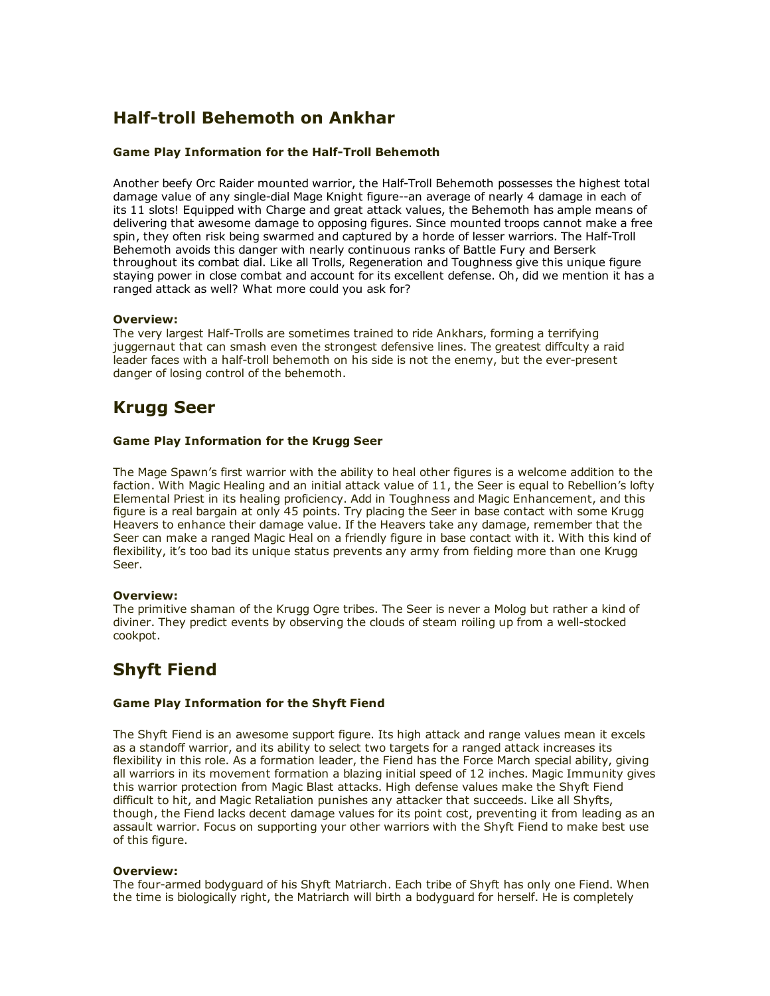# Half-troll Behemoth on Ankhar

#### Game Play Information for the Half-Troll Behemoth

Another beefy Orc Raider mounted warrior, the Half-Troll Behemoth possesses the highest total damage value of any single-dial Mage Knight figure--an average of nearly 4 damage in each of its 11 slots! Equipped with Charge and great attack values, the Behemoth has ample means of delivering that awesome damage to opposing figures. Since mounted troops cannot make a free spin, they often risk being swarmed and captured by a horde of lesser warriors. The Half-Troll Behemoth avoids this danger with nearly continuous ranks of Battle Fury and Berserk throughout its combat dial. Like all Trolls, Regeneration and Toughness give this unique figure staying power in close combat and account for its excellent defense. Oh, did we mention it has a ranged attack as well? What more could you ask for?

#### Overview:

The very largest Half-Trolls are sometimes trained to ride Ankhars, forming a terrifying juggernaut that can smash even the strongest defensive lines. The greatest diffculty a raid leader faces with a half-troll behemoth on his side is not the enemy, but the ever-present danger of losing control of the behemoth.

# Krugg Seer

#### Game Play Information for the Krugg Seer

The Mage Spawn's first warrior with the ability to heal other figures is a welcome addition to the faction. With Magic Healing and an initial attack value of 11, the Seer is equal to Rebellion's lofty Elemental Priest in its healing proficiency. Add in Toughness and Magic Enhancement, and this figure is a real bargain at only 45 points. Try placing the Seer in base contact with some Krugg Heavers to enhance their damage value. If the Heavers take any damage, remember that the Seer can make a ranged Magic Heal on a friendly figure in base contact with it. With this kind of flexibility, it's too bad its unique status prevents any army from fielding more than one Krugg Seer.

#### Overview:

The primitive shaman of the Krugg Ogre tribes. The Seer is never a Molog but rather a kind of diviner. They predict events by observing the clouds of steam roiling up from a well-stocked cookpot.

# Shyft Fiend

#### Game Play Information for the Shyft Fiend

The Shyft Fiend is an awesome support figure. Its high attack and range values mean it excels as a standoff warrior, and its ability to select two targets for a ranged attack increases its flexibility in this role. As a formation leader, the Fiend has the Force March special ability, giving all warriors in its movement formation a blazing initial speed of 12 inches. Magic Immunity gives this warrior protection from Magic Blast attacks. High defense values make the Shyft Fiend difficult to hit, and Magic Retaliation punishes any attacker that succeeds. Like all Shyfts, though, the Fiend lacks decent damage values for its point cost, preventing it from leading as an assault warrior. Focus on supporting your other warriors with the Shyft Fiend to make best use of this figure.

#### Overview:

The four-armed bodyguard of his Shyft Matriarch. Each tribe of Shyft has only one Fiend. When the time is biologically right, the Matriarch will birth a bodyguard for herself. He is completely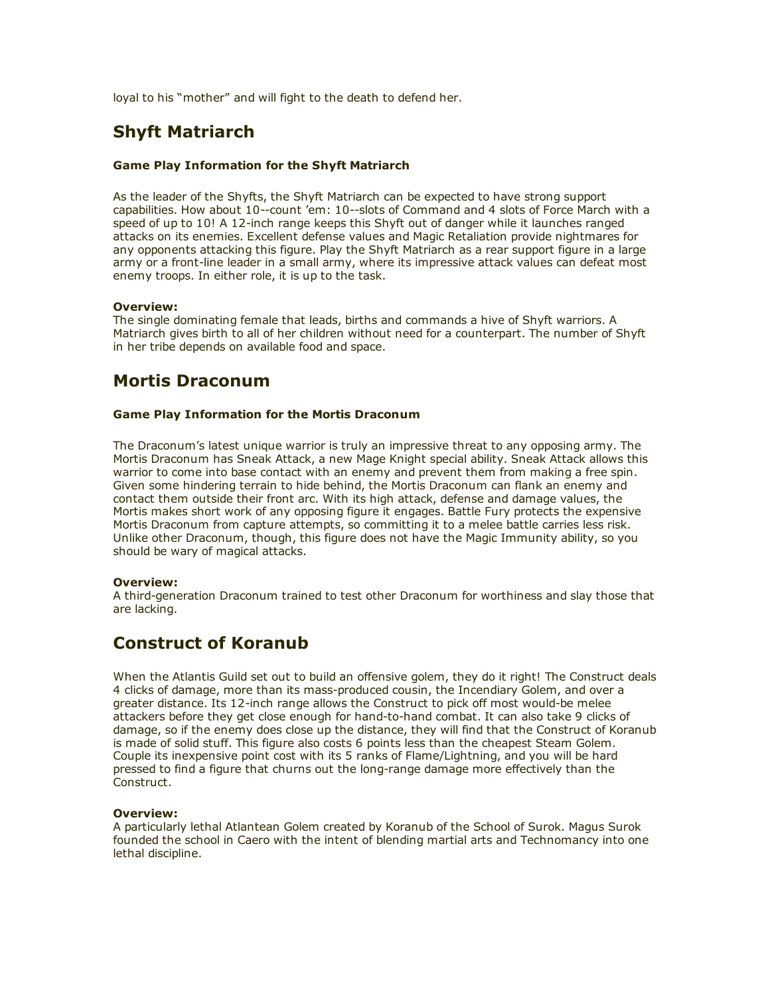loyal to his "mother" and will fight to the death to defend her.

## Shyft Matriarch

#### Game Play Information for the Shyft Matriarch

As the leader of the Shyfts, the Shyft Matriarch can be expected to have strong support capabilities. How about 10--count 'em: 10--slots of Command and 4 slots of Force March with a speed of up to 10! A 12-inch range keeps this Shyft out of danger while it launches ranged attacks on its enemies. Excellent defense values and Magic Retaliation provide nightmares for any opponents attacking this figure. Play the Shyft Matriarch as a rear support figure in a large army or a front-line leader in a small army, where its impressive attack values can defeat most enemy troops. In either role, it is up to the task.

#### Overview:

The single dominating female that leads, births and commands a hive of Shyft warriors. A Matriarch gives birth to all of her children without need for a counterpart. The number of Shyft in her tribe depends on available food and space.

### Mortis Draconum

#### Game Play Information for the Mortis Draconum

The Draconum's latest unique warrior is truly an impressive threat to any opposing army. The Mortis Draconum has Sneak Attack, a new Mage Knight special ability. Sneak Attack allows this warrior to come into base contact with an enemy and prevent them from making a free spin. Given some hindering terrain to hide behind, the Mortis Draconum can flank an enemy and contact them outside their front arc. With its high attack, defense and damage values, the Mortis makes short work of any opposing figure it engages. Battle Fury protects the expensive Mortis Draconum from capture attempts, so committing it to a melee battle carries less risk. Unlike other Draconum, though, this figure does not have the Magic Immunity ability, so you should be wary of magical attacks.

#### Overview:

A third-generation Draconum trained to test other Draconum for worthiness and slay those that are lacking.

## Construct of Koranub

When the Atlantis Guild set out to build an offensive golem, they do it right! The Construct deals 4 clicks of damage, more than its mass-produced cousin, the Incendiary Golem, and over a greater distance. Its 12-inch range allows the Construct to pick off most would-be melee attackers before they get close enough for hand-to-hand combat. It can also take 9 clicks of damage, so if the enemy does close up the distance, they will find that the Construct of Koranub is made of solid stuff. This figure also costs 6 points less than the cheapest Steam Golem. Couple its inexpensive point cost with its 5 ranks of Flame/Lightning, and you will be hard pressed to find a figure that churns out the long-range damage more effectively than the Construct.

#### Overview:

A particularly lethal Atlantean Golem created by Koranub of the School of Surok. Magus Surok founded the school in Caero with the intent of blending martial arts and Technomancy into one lethal discipline.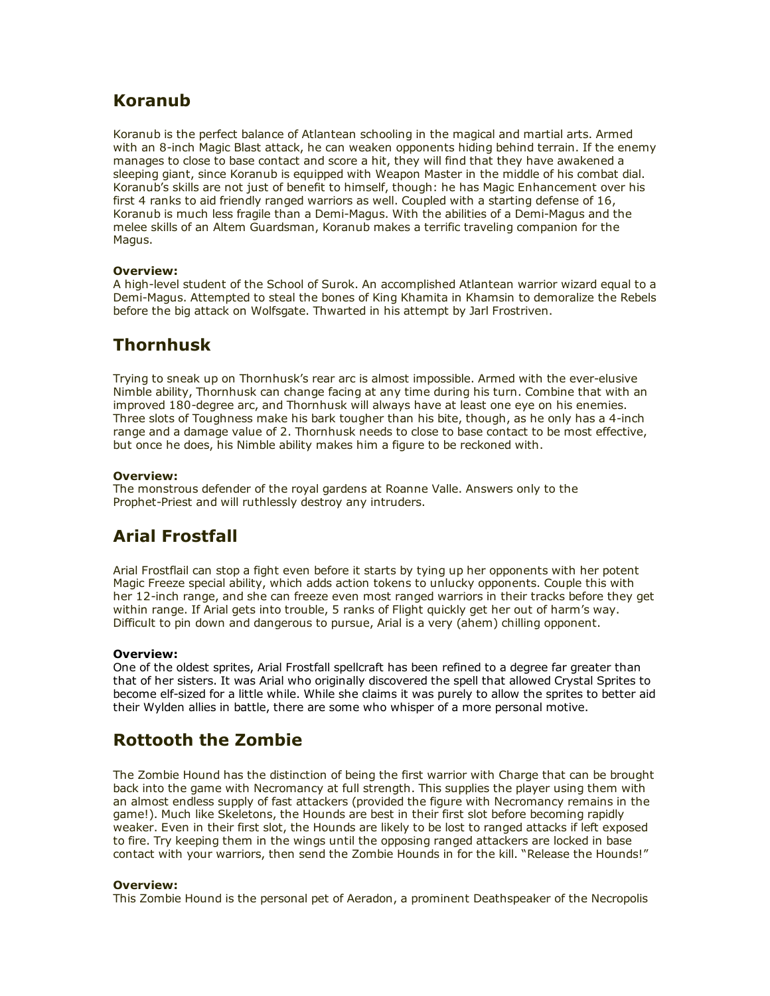## Koranub

Koranub is the perfect balance of Atlantean schooling in the magical and martial arts. Armed with an 8-inch Magic Blast attack, he can weaken opponents hiding behind terrain. If the enemy manages to close to base contact and score a hit, they will find that they have awakened a sleeping giant, since Koranub is equipped with Weapon Master in the middle of his combat dial. Koranub's skills are not just of benefit to himself, though: he has Magic Enhancement over his first 4 ranks to aid friendly ranged warriors as well. Coupled with a starting defense of 16, Koranub is much less fragile than a Demi-Magus. With the abilities of a Demi-Magus and the melee skills of an Altem Guardsman, Koranub makes a terrific traveling companion for the Magus.

#### Overview:

A high-level student of the School of Surok. An accomplished Atlantean warrior wizard equal to a Demi-Magus. Attempted to steal the bones of King Khamita in Khamsin to demoralize the Rebels before the big attack on Wolfsgate. Thwarted in his attempt by Jarl Frostriven.

## Thornhusk

Trying to sneak up on Thornhusk's rear arc is almost impossible. Armed with the everelusive Nimble ability, Thornhusk can change facing at any time during his turn. Combine that with an improved 180-degree arc, and Thornhusk will always have at least one eye on his enemies. Three slots of Toughness make his bark tougher than his bite, though, as he only has a 4-inch range and a damage value of 2. Thornhusk needs to close to base contact to be most effective, but once he does, his Nimble ability makes him a figure to be reckoned with.

#### Overview:

The monstrous defender of the royal gardens at Roanne Valle. Answers only to the Prophet-Priest and will ruthlessly destroy any intruders.

# Arial Frostfall

Arial Frostflail can stop a fight even before it starts by tying up her opponents with her potent Magic Freeze special ability, which adds action tokens to unlucky opponents. Couple this with her 12-inch range, and she can freeze even most ranged warriors in their tracks before they get within range. If Arial gets into trouble, 5 ranks of Flight quickly get her out of harm's way. Difficult to pin down and dangerous to pursue, Arial is a very (ahem) chilling opponent.

#### Overview:

One of the oldest sprites, Arial Frostfall spellcraft has been refined to a degree far greater than that of her sisters. It was Arial who originally discovered the spell that allowed Crystal Sprites to become elf-sized for a little while. While she claims it was purely to allow the sprites to better aid their Wylden allies in battle, there are some who whisper of a more personal motive.

# Rottooth the Zombie

The Zombie Hound has the distinction of being the first warrior with Charge that can be brought back into the game with Necromancy at full strength. This supplies the player using them with an almost endless supply of fast attackers (provided the figure with Necromancy remains in the game!). Much like Skeletons, the Hounds are best in their first slot before becoming rapidly weaker. Even in their first slot, the Hounds are likely to be lost to ranged attacks if left exposed to fire. Try keeping them in the wings until the opposing ranged attackers are locked in base contact with your warriors, then send the Zombie Hounds in for the kill. "Release the Hounds!"

#### Overview:

This Zombie Hound is the personal pet of Aeradon, a prominent Deathspeaker of the Necropolis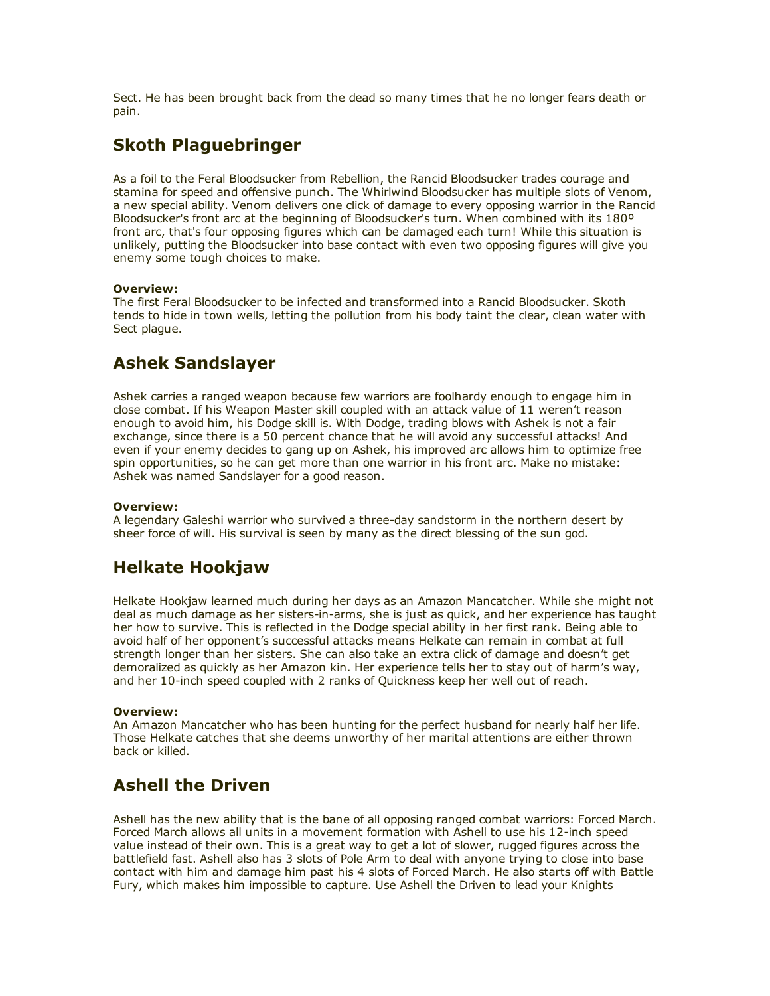Sect. He has been brought back from the dead so many times that he no longer fears death or pain.

# Skoth Plaguebringer

As a foil to the Feral Bloodsucker from Rebellion, the Rancid Bloodsucker trades courage and stamina for speed and offensive punch. The Whirlwind Bloodsucker has multiple slots of Venom, a new special ability. Venom delivers one click of damage to every opposing warrior in the Rancid Bloodsucker's front arc at the beginning of Bloodsucker's turn. When combined with its 180º front arc, that's four opposing figures which can be damaged each turn! While this situation is unlikely, putting the Bloodsucker into base contact with even two opposing figures will give you enemy some tough choices to make.

#### Overview:

The first Feral Bloodsucker to be infected and transformed into a Rancid Bloodsucker. Skoth tends to hide in town wells, letting the pollution from his body taint the clear, clean water with Sect plague.

# Ashek Sandslayer

Ashek carries a ranged weapon because few warriors are foolhardy enough to engage him in close combat. If his Weapon Master skill coupled with an attack value of 11 weren't reason enough to avoid him, his Dodge skill is. With Dodge, trading blows with Ashek is not a fair exchange, since there is a 50 percent chance that he will avoid any successful attacks! And even if your enemy decides to gang up on Ashek, his improved arc allows him to optimize free spin opportunities, so he can get more than one warrior in his front arc. Make no mistake: Ashek was named Sandslayer for a good reason.

#### Overview:

A legendary Galeshi warrior who survived a three-day sandstorm in the northern desert by sheer force of will. His survival is seen by many as the direct blessing of the sun god.

# Helkate Hookjaw

Helkate Hookjaw learned much during her days as an Amazon Mancatcher. While she might not deal as much damage as her sisters-in-arms, she is just as quick, and her experience has taught her how to survive. This is reflected in the Dodge special ability in her first rank. Being able to avoid half of her opponent's successful attacks means Helkate can remain in combat at full strength longer than her sisters. She can also take an extra click of damage and doesn't get demoralized as quickly as her Amazon kin. Her experience tells her to stay out of harm's way, and her 10-inch speed coupled with 2 ranks of Quickness keep her well out of reach.

#### Overview:

An Amazon Mancatcher who has been hunting for the perfect husband for nearly half her life. Those Helkate catches that she deems unworthy of her marital attentions are either thrown back or killed.

# Ashell the Driven

Ashell has the new ability that is the bane of all opposing ranged combat warriors: Forced March. Forced March allows all units in a movement formation with Ashell to use his 12-inch speed value instead of their own. This is a great way to get a lot of slower, rugged figures across the battlefield fast. Ashell also has 3 slots of Pole Arm to deal with anyone trying to close into base contact with him and damage him past his 4 slots of Forced March. He also starts off with Battle Fury, which makes him impossible to capture. Use Ashell the Driven to lead your Knights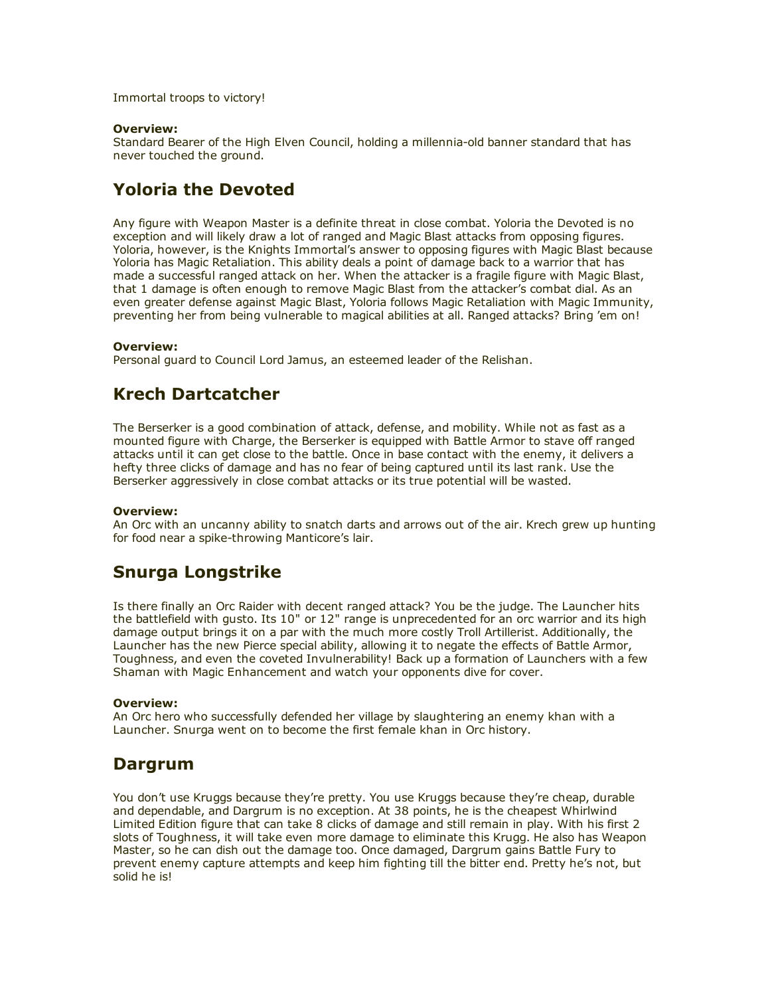Immortal troops to victory!

#### Overview:

Standard Bearer of the High Elven Council, holding a millennia-old banner standard that has never touched the ground.

## Yoloria the Devoted

Any figure with Weapon Master is a definite threat in close combat. Yoloria the Devoted is no exception and will likely draw a lot of ranged and Magic Blast attacks from opposing figures. Yoloria, however, is the Knights Immortal's answer to opposing figures with Magic Blast because Yoloria has Magic Retaliation. This ability deals a point of damage back to a warrior that has made a successful ranged attack on her. When the attacker is a fragile figure with Magic Blast, that 1 damage is often enough to remove Magic Blast from the attacker's combat dial. As an even greater defense against Magic Blast, Yoloria follows Magic Retaliation with Magic Immunity, preventing her from being vulnerable to magical abilities at all. Ranged attacks? Bring 'em on!

#### Overview:

Personal guard to Council Lord Jamus, an esteemed leader of the Relishan.

### Krech Dartcatcher

The Berserker is a good combination of attack, defense, and mobility. While not as fast as a mounted figure with Charge, the Berserker is equipped with Battle Armor to stave off ranged attacks until it can get close to the battle. Once in base contact with the enemy, it delivers a hefty three clicks of damage and has no fear of being captured until its last rank. Use the Berserker aggressively in close combat attacks or its true potential will be wasted.

#### Overview:

An Orc with an uncanny ability to snatch darts and arrows out of the air. Krech grew up hunting for food near a spike-throwing Manticore's lair.

## Snurga Longstrike

Is there finally an Orc Raider with decent ranged attack? You be the judge. The Launcher hits the battlefield with gusto. Its 10" or 12" range is unprecedented for an orc warrior and its high damage output brings it on a par with the much more costly Troll Artillerist. Additionally, the Launcher has the new Pierce special ability, allowing it to negate the effects of Battle Armor, Toughness, and even the coveted Invulnerability! Back up a formation of Launchers with a few Shaman with Magic Enhancement and watch your opponents dive for cover.

#### Overview:

An Orc hero who successfully defended her village by slaughtering an enemy khan with a Launcher. Snurga went on to become the first female khan in Orc history.

### Dargrum

You don't use Kruggs because they're pretty. You use Kruggs because they're cheap, durable and dependable, and Dargrum is no exception. At 38 points, he is the cheapest Whirlwind Limited Edition figure that can take 8 clicks of damage and still remain in play. With his first 2 slots of Toughness, it will take even more damage to eliminate this Krugg. He also has Weapon Master, so he can dish out the damage too. Once damaged, Dargrum gains Battle Fury to prevent enemy capture attempts and keep him fighting till the bitter end. Pretty he's not, but solid he is!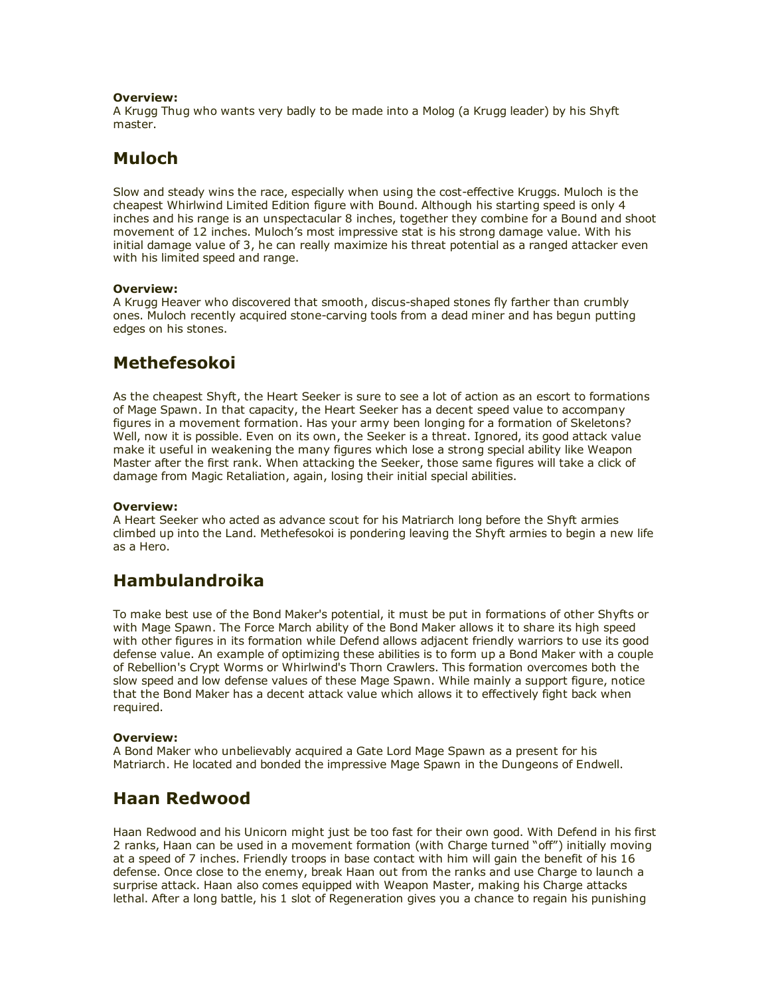#### Overview:

A Krugg Thug who wants very badly to be made into a Molog (a Krugg leader) by his Shyft master.

## Muloch

Slow and steady wins the race, especially when using the cost-effective Kruggs. Muloch is the cheapest Whirlwind Limited Edition figure with Bound. Although his starting speed is only 4 inches and his range is an unspectacular 8 inches, together they combine for a Bound and shoot movement of 12 inches. Muloch's most impressive stat is his strong damage value. With his initial damage value of 3, he can really maximize his threat potential as a ranged attacker even with his limited speed and range.

#### Overview:

A Krugg Heaver who discovered that smooth, discus-shaped stones fly farther than crumbly ones. Muloch recently acquired stone-carving tools from a dead miner and has begun putting edges on his stones.

## Methefesokoi

As the cheapest Shyft, the Heart Seeker is sure to see a lot of action as an escort to formations of Mage Spawn. In that capacity, the Heart Seeker has a decent speed value to accompany figures in a movement formation. Has your army been longing for a formation of Skeletons? Well, now it is possible. Even on its own, the Seeker is a threat. Ignored, its good attack value make it useful in weakening the many figures which lose a strong special ability like Weapon Master after the first rank. When attacking the Seeker, those same figures will take a click of damage from Magic Retaliation, again, losing their initial special abilities.

#### Overview:

A Heart Seeker who acted as advance scout for his Matriarch long before the Shyft armies climbed up into the Land. Methefesokoi is pondering leaving the Shyft armies to begin a new life as a Hero.

## Hambulandroika

To make best use of the Bond Maker's potential, it must be put in formations of other Shyfts or with Mage Spawn. The Force March ability of the Bond Maker allows it to share its high speed with other figures in its formation while Defend allows adjacent friendly warriors to use its good defense value. An example of optimizing these abilities is to form up a Bond Maker with a couple of Rebellion's Crypt Worms or Whirlwind's Thorn Crawlers. This formation overcomes both the slow speed and low defense values of these Mage Spawn. While mainly a support figure, notice that the Bond Maker has a decent attack value which allows it to effectively fight back when required.

#### Overview:

A Bond Maker who unbelievably acquired a Gate Lord Mage Spawn as a present for his Matriarch. He located and bonded the impressive Mage Spawn in the Dungeons of Endwell.

### Haan Redwood

Haan Redwood and his Unicorn might just be too fast for their own good. With Defend in his first 2 ranks, Haan can be used in a movement formation (with Charge turned "off") initially moving at a speed of 7 inches. Friendly troops in base contact with him will gain the benefit of his 16 defense. Once close to the enemy, break Haan out from the ranks and use Charge to launch a surprise attack. Haan also comes equipped with Weapon Master, making his Charge attacks lethal. After a long battle, his 1 slot of Regeneration gives you a chance to regain his punishing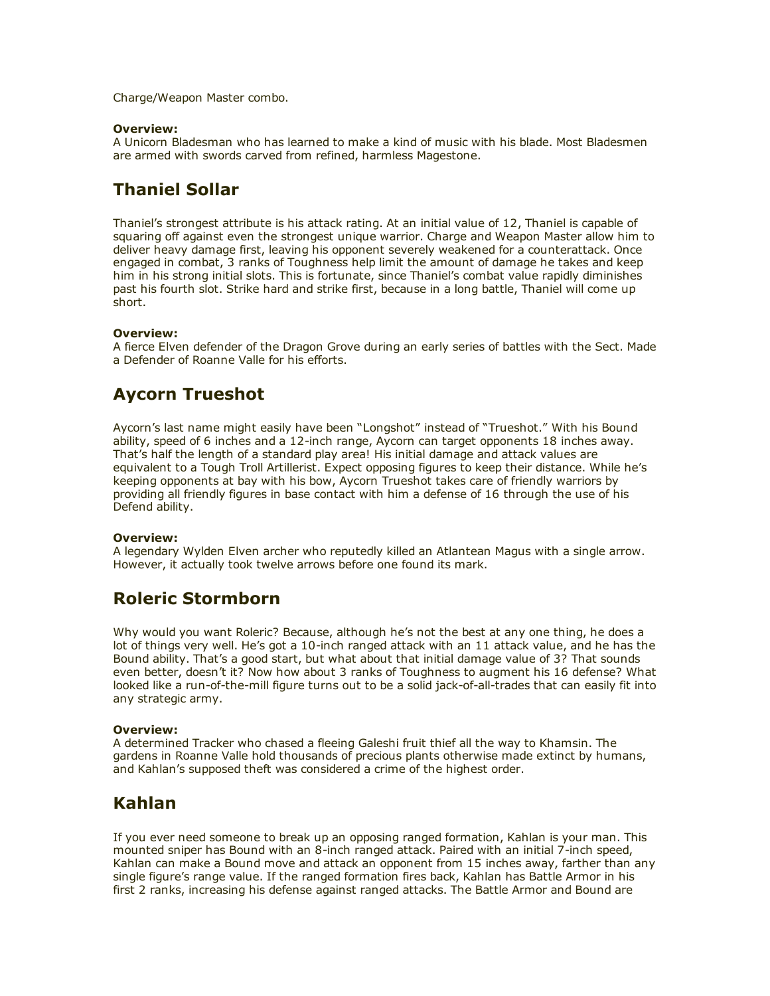Charge/Weapon Master combo.

#### Overview:

A Unicorn Bladesman who has learned to make a kind of music with his blade. Most Bladesmen are armed with swords carved from refined, harmless Magestone.

## Thaniel Sollar

Thaniel's strongest attribute is his attack rating. At an initial value of 12, Thaniel is capable of squaring off against even the strongest unique warrior. Charge and Weapon Master allow him to deliver heavy damage first, leaving his opponent severely weakened for a counterattack. Once engaged in combat, 3 ranks of Toughness help limit the amount of damage he takes and keep him in his strong initial slots. This is fortunate, since Thaniel's combat value rapidly diminishes past his fourth slot. Strike hard and strike first, because in a long battle, Thaniel will come up short.

#### Overview:

A fierce Elven defender of the Dragon Grove during an early series of battles with the Sect. Made a Defender of Roanne Valle for his efforts.

## Aycorn Trueshot

Aycorn's last name might easily have been "Longshot" instead of "Trueshot." With his Bound ability, speed of 6 inches and a 12-inch range, Aycorn can target opponents 18 inches away. That's half the length of a standard play area! His initial damage and attack values are equivalent to a Tough Troll Artillerist. Expect opposing figures to keep their distance. While he's keeping opponents at bay with his bow, Aycorn Trueshot takes care of friendly warriors by providing all friendly figures in base contact with him a defense of 16 through the use of his Defend ability.

#### Overview:

A legendary Wylden Elven archer who reputedly killed an Atlantean Magus with a single arrow. However, it actually took twelve arrows before one found its mark.

### Roleric Stormborn

Why would you want Roleric? Because, although he's not the best at any one thing, he does a lot of things very well. He's got a 10-inch ranged attack with an 11 attack value, and he has the Bound ability. That's a good start, but what about that initial damage value of 3? That sounds even better, doesn't it? Now how about 3 ranks of Toughness to augment his 16 defense? What looked like a run-of-the-mill figure turns out to be a solid jack-of-all-trades that can easily fit into any strategic army.

#### Overview:

A determined Tracker who chased a fleeing Galeshi fruit thief all the way to Khamsin. The gardens in Roanne Valle hold thousands of precious plants otherwise made extinct by humans, and Kahlan's supposed theft was considered a crime of the highest order.

## Kahlan

If you ever need someone to break up an opposing ranged formation, Kahlan is your man. This mounted sniper has Bound with an 8-inch ranged attack. Paired with an initial 7-inch speed, Kahlan can make a Bound move and attack an opponent from 15 inches away, farther than any single figure's range value. If the ranged formation fires back, Kahlan has Battle Armor in his first 2 ranks, increasing his defense against ranged attacks. The Battle Armor and Bound are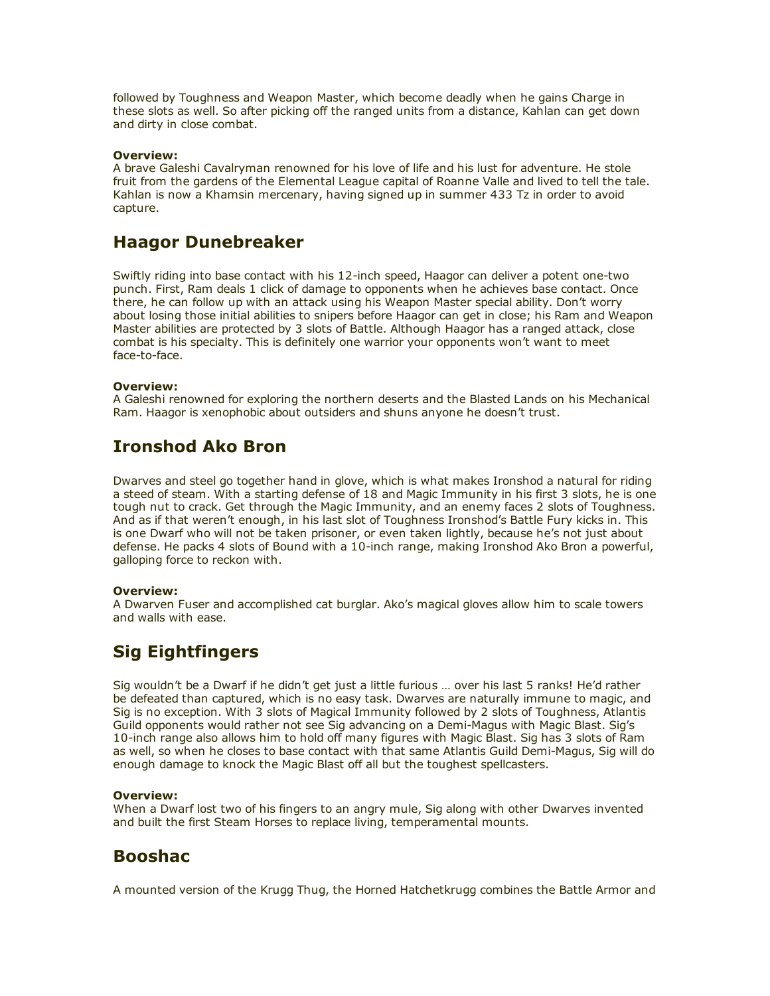followed by Toughness and Weapon Master, which become deadly when he gains Charge in these slots as well. So after picking off the ranged units from a distance, Kahlan can get down and dirty in close combat.

#### Overview:

A brave Galeshi Cavalryman renowned for his love of life and his lust for adventure. He stole fruit from the gardens of the Elemental League capital of Roanne Valle and lived to tell the tale. Kahlan is now a Khamsin mercenary, having signed up in summer 433 Tz in order to avoid capture.

### Haagor Dunebreaker

Swiftly riding into base contact with his 12-inch speed, Haagor can deliver a potent one-two punch. First, Ram deals 1 click of damage to opponents when he achieves base contact. Once there, he can follow up with an attack using his Weapon Master special ability. Don't worry about losing those initial abilities to snipers before Haagor can get in close; his Ram and Weapon Master abilities are protected by 3 slots of Battle. Although Haagor has a ranged attack, close combat is his specialty. This is definitely one warrior your opponents won't want to meet face-to-face.

#### Overview:

A Galeshi renowned for exploring the northern deserts and the Blasted Lands on his Mechanical Ram. Haagor is xenophobic about outsiders and shuns anyone he doesn't trust.

## Ironshod Ako Bron

Dwarves and steel go together hand in glove, which is what makes Ironshod a natural for riding a steed of steam. With a starting defense of 18 and Magic Immunity in his first 3 slots, he is one tough nut to crack. Get through the Magic Immunity, and an enemy faces 2 slots of Toughness. And as if that weren't enough, in his last slot of Toughness Ironshod's Battle Fury kicks in. This is one Dwarf who will not be taken prisoner, or even taken lightly, because he's not just about defense. He packs 4 slots of Bound with a 10-inch range, making Ironshod Ako Bron a powerful, galloping force to reckon with.

#### Overview:

A Dwarven Fuser and accomplished cat burglar. Ako's magical gloves allow him to scale towers and walls with ease.

# Sig Eightfingers

Sig wouldn't be a Dwarf if he didn't get just a little furious … over his last 5 ranks! He'd rather be defeated than captured, which is no easy task. Dwarves are naturally immune to magic, and Sig is no exception. With 3 slots of Magical Immunity followed by 2 slots of Toughness, Atlantis Guild opponents would rather not see Sig advancing on a Demi-Magus with Magic Blast. Sig's 10-inch range also allows him to hold off many figures with Magic Blast. Sig has 3 slots of Ram as well, so when he closes to base contact with that same Atlantis Guild Demi-Magus, Sig will do enough damage to knock the Magic Blast off all but the toughest spellcasters.

#### Overview:

When a Dwarf lost two of his fingers to an angry mule, Sig along with other Dwarves invented and built the first Steam Horses to replace living, temperamental mounts.

## Booshac

A mounted version of the Krugg Thug, the Horned Hatchetkrugg combines the Battle Armor and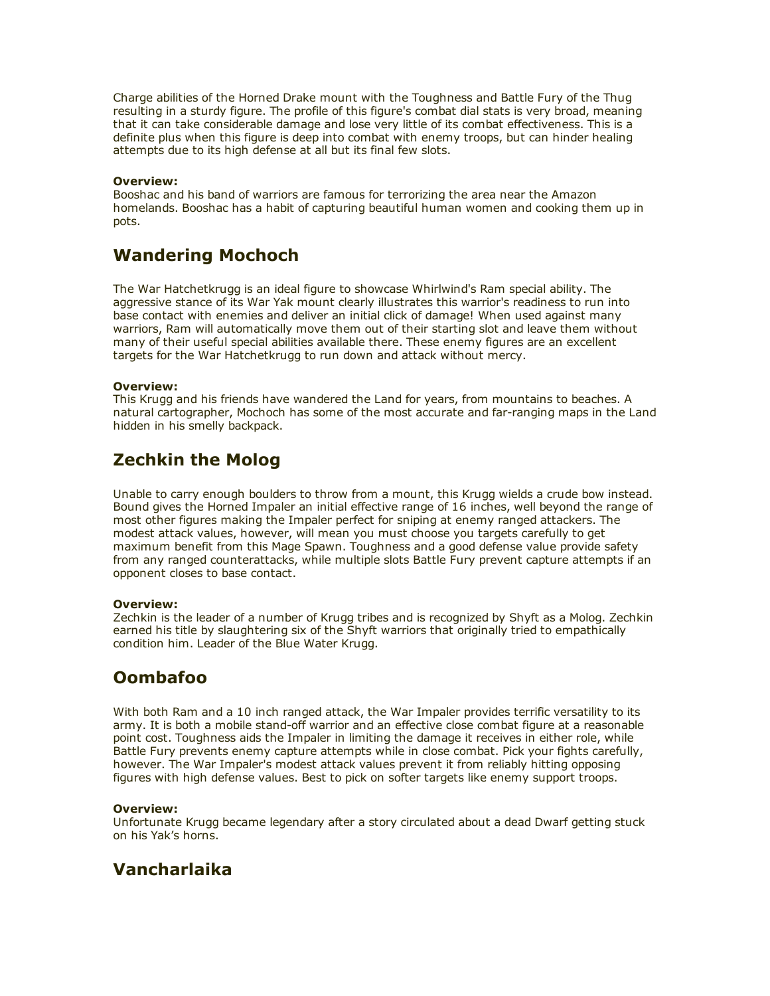Charge abilities of the Horned Drake mount with the Toughness and Battle Fury of the Thug resulting in a sturdy figure. The profile of this figure's combat dial stats is very broad, meaning that it can take considerable damage and lose very little of its combat effectiveness. This is a definite plus when this figure is deep into combat with enemy troops, but can hinder healing attempts due to its high defense at all but its final few slots.

#### Overview:

Booshac and his band of warriors are famous for terrorizing the area near the Amazon homelands. Booshac has a habit of capturing beautiful human women and cooking them up in pots.

## Wandering Mochoch

The War Hatchetkrugg is an ideal figure to showcase Whirlwind's Ram special ability. The aggressive stance of its War Yak mount clearly illustrates this warrior's readiness to run into base contact with enemies and deliver an initial click of damage! When used against many warriors, Ram will automatically move them out of their starting slot and leave them without many of their useful special abilities available there. These enemy figures are an excellent targets for the War Hatchetkrugg to run down and attack without mercy.

#### Overview:

This Krugg and his friends have wandered the Land for years, from mountains to beaches. A natural cartographer, Mochoch has some of the most accurate and far-ranging maps in the Land hidden in his smelly backpack.

# Zechkin the Molog

Unable to carry enough boulders to throw from a mount, this Krugg wields a crude bow instead. Bound gives the Horned Impaler an initial effective range of 16 inches, well beyond the range of most other figures making the Impaler perfect for sniping at enemy ranged attackers. The modest attack values, however, will mean you must choose you targets carefully to get maximum benefit from this Mage Spawn. Toughness and a good defense value provide safety from any ranged counterattacks, while multiple slots Battle Fury prevent capture attempts if an opponent closes to base contact.

#### Overview:

Zechkin is the leader of a number of Krugg tribes and is recognized by Shyft as a Molog. Zechkin earned his title by slaughtering six of the Shyft warriors that originally tried to empathically condition him. Leader of the Blue Water Krugg.

# Oombafoo

With both Ram and a 10 inch ranged attack, the War Impaler provides terrific versatility to its army. It is both a mobile stand-off warrior and an effective close combat figure at a reasonable point cost. Toughness aids the Impaler in limiting the damage it receives in either role, while Battle Fury prevents enemy capture attempts while in close combat. Pick your fights carefully, however. The War Impaler's modest attack values prevent it from reliably hitting opposing figures with high defense values. Best to pick on softer targets like enemy support troops.

#### Overview:

Unfortunate Krugg became legendary after a story circulated about a dead Dwarf getting stuck on his Yak's horns.

## Vancharlaika